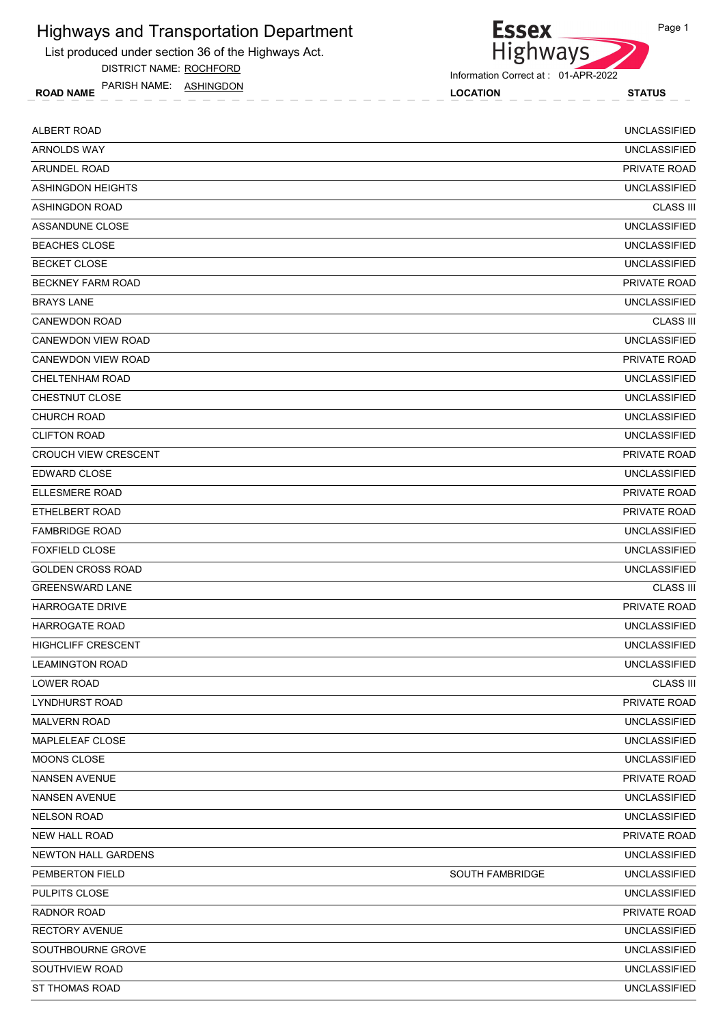List produced under section 36 of the Highways Act.

DISTRICT NAME: ROCHFORD

ROAD NAME LOCATION STATUS PARISH NAME: ASHINGDON



Information Correct at : 01-APR-2022

| <b>ALBERT ROAD</b>          |                        | <b>UNCLASSIFIED</b> |
|-----------------------------|------------------------|---------------------|
| <b>ARNOLDS WAY</b>          |                        | <b>UNCLASSIFIED</b> |
| ARUNDEL ROAD                |                        | <b>PRIVATE ROAD</b> |
| ASHINGDON HEIGHTS           |                        | <b>UNCLASSIFIED</b> |
| <b>ASHINGDON ROAD</b>       |                        | <b>CLASS III</b>    |
| ASSANDUNE CLOSE             |                        | <b>UNCLASSIFIED</b> |
| <b>BEACHES CLOSE</b>        |                        | <b>UNCLASSIFIED</b> |
| <b>BECKET CLOSE</b>         |                        | <b>UNCLASSIFIED</b> |
| <b>BECKNEY FARM ROAD</b>    |                        | PRIVATE ROAD        |
| <b>BRAYS LANE</b>           |                        | <b>UNCLASSIFIED</b> |
| <b>CANEWDON ROAD</b>        |                        | <b>CLASS III</b>    |
| CANEWDON VIEW ROAD          |                        | <b>UNCLASSIFIED</b> |
| CANEWDON VIEW ROAD          |                        | <b>PRIVATE ROAD</b> |
| CHELTENHAM ROAD             |                        | <b>UNCLASSIFIED</b> |
| <b>CHESTNUT CLOSE</b>       |                        | <b>UNCLASSIFIED</b> |
| <b>CHURCH ROAD</b>          |                        | <b>UNCLASSIFIED</b> |
| <b>CLIFTON ROAD</b>         |                        | <b>UNCLASSIFIED</b> |
| <b>CROUCH VIEW CRESCENT</b> |                        | PRIVATE ROAD        |
| <b>EDWARD CLOSE</b>         |                        | <b>UNCLASSIFIED</b> |
| <b>ELLESMERE ROAD</b>       |                        | PRIVATE ROAD        |
| ETHELBERT ROAD              |                        | PRIVATE ROAD        |
| <b>FAMBRIDGE ROAD</b>       |                        | <b>UNCLASSIFIED</b> |
| <b>FOXFIELD CLOSE</b>       |                        | <b>UNCLASSIFIED</b> |
| <b>GOLDEN CROSS ROAD</b>    |                        | <b>UNCLASSIFIED</b> |
| <b>GREENSWARD LANE</b>      |                        | <b>CLASS III</b>    |
| <b>HARROGATE DRIVE</b>      |                        | PRIVATE ROAD        |
| <b>HARROGATE ROAD</b>       |                        | <b>UNCLASSIFIED</b> |
| <b>HIGHCLIFF CRESCENT</b>   |                        | <b>UNCLASSIFIED</b> |
| <b>LEAMINGTON ROAD</b>      |                        | <b>UNCLASSIFIED</b> |
| LOWER ROAD                  |                        | <b>CLASS III</b>    |
| <b>LYNDHURST ROAD</b>       |                        | PRIVATE ROAD        |
| <b>MALVERN ROAD</b>         |                        | <b>UNCLASSIFIED</b> |
| MAPLELEAF CLOSE             |                        | <b>UNCLASSIFIED</b> |
| MOONS CLOSE                 |                        | UNCLASSIFIED        |
| <b>NANSEN AVENUE</b>        |                        | PRIVATE ROAD        |
| <b>NANSEN AVENUE</b>        |                        | <b>UNCLASSIFIED</b> |
| <b>NELSON ROAD</b>          |                        | <b>UNCLASSIFIED</b> |
| NEW HALL ROAD               |                        | PRIVATE ROAD        |
| NEWTON HALL GARDENS         |                        | <b>UNCLASSIFIED</b> |
| PEMBERTON FIELD             | <b>SOUTH FAMBRIDGE</b> | <b>UNCLASSIFIED</b> |
| PULPITS CLOSE               |                        | <b>UNCLASSIFIED</b> |
| RADNOR ROAD                 |                        | PRIVATE ROAD        |
| <b>RECTORY AVENUE</b>       |                        | <b>UNCLASSIFIED</b> |
| SOUTHBOURNE GROVE           |                        | <b>UNCLASSIFIED</b> |
| SOUTHVIEW ROAD              |                        | <b>UNCLASSIFIED</b> |
| ST THOMAS ROAD              |                        | <b>UNCLASSIFIED</b> |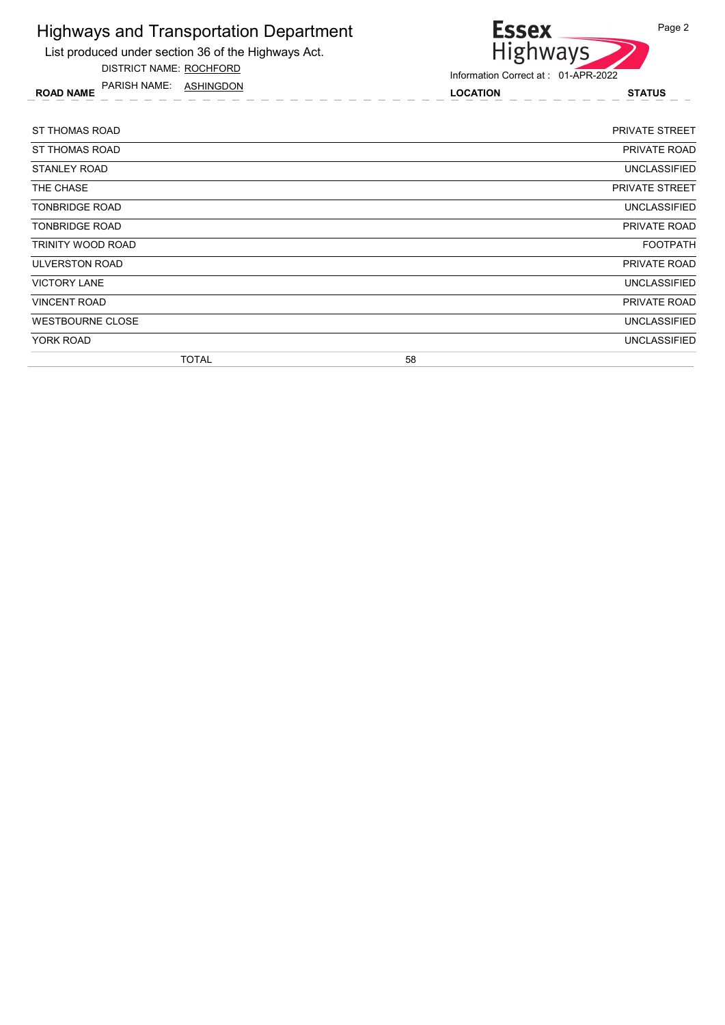

DISTRICT NAME: ROCHFORD

ROAD NAME LOCATION STATUS PARISH NAME: ASHINGDON



| ST THOMAS ROAD          | <b>PRIVATE STREET</b> |
|-------------------------|-----------------------|
| <b>ST THOMAS ROAD</b>   | PRIVATE ROAD          |
| STANLEY ROAD            | UNCLASSIFIED          |
| THE CHASE               | <b>PRIVATE STREET</b> |
| <b>TONBRIDGE ROAD</b>   | UNCLASSIFIED          |
| <b>TONBRIDGE ROAD</b>   | PRIVATE ROAD          |
| TRINITY WOOD ROAD       | <b>FOOTPATH</b>       |
| ULVERSTON ROAD          | <b>PRIVATE ROAD</b>   |
| <b>VICTORY LANE</b>     | <b>UNCLASSIFIED</b>   |
| <b>VINCENT ROAD</b>     | <b>PRIVATE ROAD</b>   |
| <b>WESTBOURNE CLOSE</b> | <b>UNCLASSIFIED</b>   |
| YORK ROAD               | <b>UNCLASSIFIED</b>   |
| <b>TOTAL</b>            | 58                    |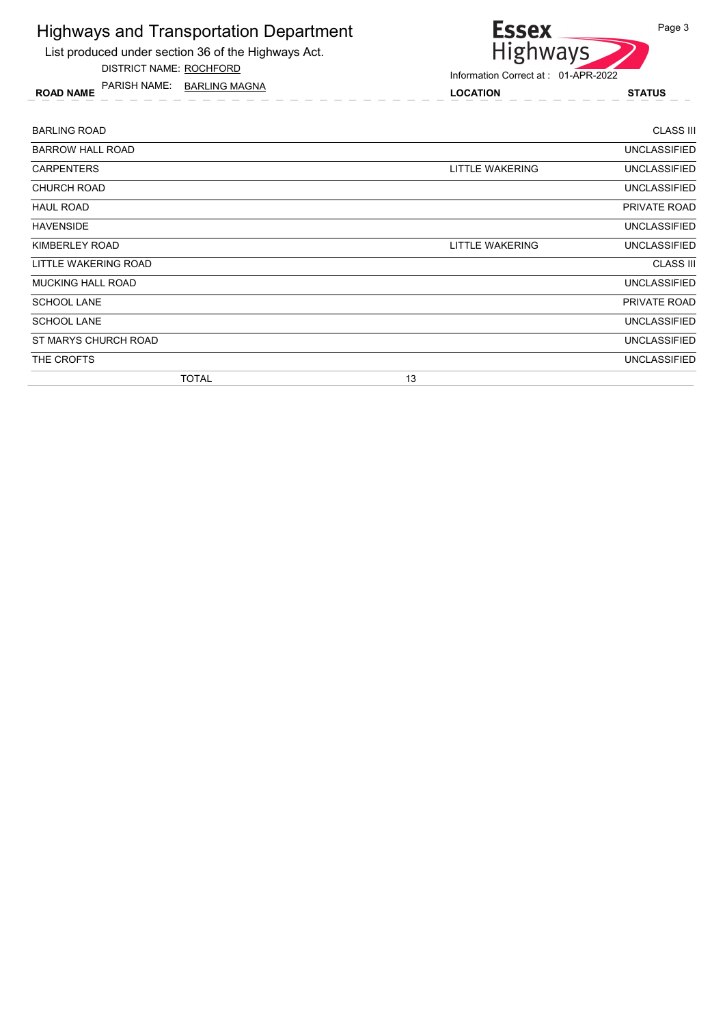List produced under section 36 of the Highways Act.

DISTRICT NAME: ROCHFORD

ROAD NAME LOCATION STATUS PARISH NAME: BARLING MAGNA



| <b>BARLING ROAD</b>      | <b>CLASS III</b>                       |
|--------------------------|----------------------------------------|
| <b>BARROW HALL ROAD</b>  | <b>UNCLASSIFIED</b>                    |
| <b>CARPENTERS</b>        | LITTLE WAKERING<br><b>UNCLASSIFIED</b> |
| <b>CHURCH ROAD</b>       | <b>UNCLASSIFIED</b>                    |
| <b>HAUL ROAD</b>         | PRIVATE ROAD                           |
| <b>HAVENSIDE</b>         | <b>UNCLASSIFIED</b>                    |
| KIMBERLEY ROAD           | UNCLASSIFIED<br>LITTLE WAKERING        |
| LITTLE WAKERING ROAD     | <b>CLASS III</b>                       |
| <b>MUCKING HALL ROAD</b> | <b>UNCLASSIFIED</b>                    |
| <b>SCHOOL LANE</b>       | PRIVATE ROAD                           |
| <b>SCHOOL LANE</b>       | <b>UNCLASSIFIED</b>                    |
| ST MARYS CHURCH ROAD     | <b>UNCLASSIFIED</b>                    |
| THE CROFTS               | <b>UNCLASSIFIED</b>                    |
| <b>TOTAL</b>             | 13                                     |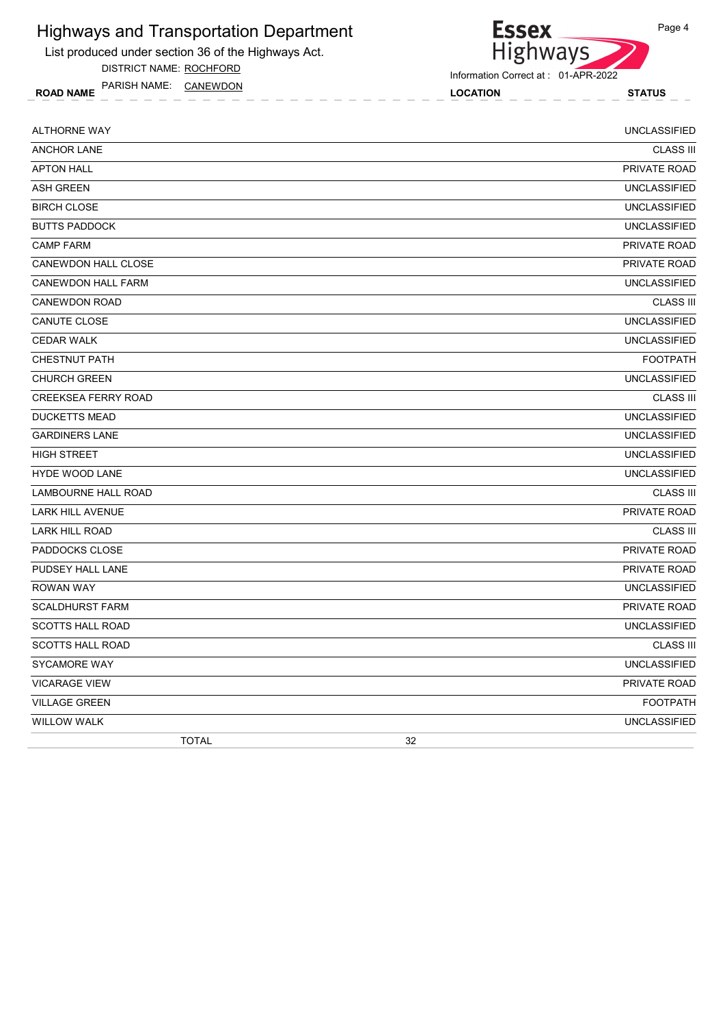List produced under section 36 of the Highways Act.

DISTRICT NAME: ROCHFORD

ROAD NAME LOCATION STATUS PARISH NAME: CANEWDON



| <b>ALTHORNE WAY</b>        | <b>UNCLASSIFIED</b> |
|----------------------------|---------------------|
| <b>ANCHOR LANE</b>         | <b>CLASS III</b>    |
| <b>APTON HALL</b>          | <b>PRIVATE ROAD</b> |
| <b>ASH GREEN</b>           | <b>UNCLASSIFIED</b> |
| <b>BIRCH CLOSE</b>         | <b>UNCLASSIFIED</b> |
| <b>BUTTS PADDOCK</b>       | <b>UNCLASSIFIED</b> |
| <b>CAMP FARM</b>           | PRIVATE ROAD        |
| CANEWDON HALL CLOSE        | PRIVATE ROAD        |
| CANEWDON HALL FARM         | <b>UNCLASSIFIED</b> |
| <b>CANEWDON ROAD</b>       | <b>CLASS III</b>    |
| CANUTE CLOSE               | <b>UNCLASSIFIED</b> |
| <b>CEDAR WALK</b>          | <b>UNCLASSIFIED</b> |
| <b>CHESTNUT PATH</b>       | <b>FOOTPATH</b>     |
| <b>CHURCH GREEN</b>        | <b>UNCLASSIFIED</b> |
| <b>CREEKSEA FERRY ROAD</b> | <b>CLASS III</b>    |
| <b>DUCKETTS MEAD</b>       | <b>UNCLASSIFIED</b> |
| <b>GARDINERS LANE</b>      | <b>UNCLASSIFIED</b> |
| <b>HIGH STREET</b>         | <b>UNCLASSIFIED</b> |
| <b>HYDE WOOD LANE</b>      | <b>UNCLASSIFIED</b> |
| <b>LAMBOURNE HALL ROAD</b> | <b>CLASS III</b>    |
| <b>LARK HILL AVENUE</b>    | PRIVATE ROAD        |
| <b>LARK HILL ROAD</b>      | <b>CLASS III</b>    |
| PADDOCKS CLOSE             | <b>PRIVATE ROAD</b> |
| PUDSEY HALL LANE           | PRIVATE ROAD        |
| <b>ROWAN WAY</b>           | <b>UNCLASSIFIED</b> |
| <b>SCALDHURST FARM</b>     | PRIVATE ROAD        |
| <b>SCOTTS HALL ROAD</b>    | <b>UNCLASSIFIED</b> |
| <b>SCOTTS HALL ROAD</b>    | <b>CLASS III</b>    |
| <b>SYCAMORE WAY</b>        | <b>UNCLASSIFIED</b> |
| <b>VICARAGE VIEW</b>       | <b>PRIVATE ROAD</b> |
| <b>VILLAGE GREEN</b>       | <b>FOOTPATH</b>     |
| <b>WILLOW WALK</b>         | <b>UNCLASSIFIED</b> |
| <b>TOTAL</b>               | 32                  |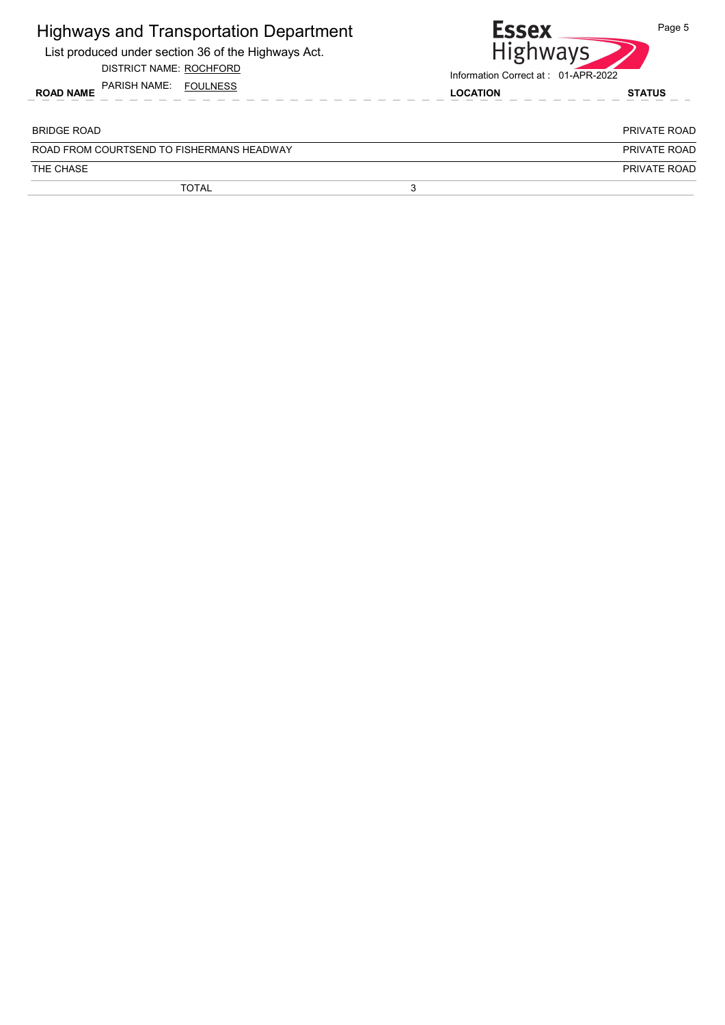| <b>Essex</b><br>Information Correct at: 01-APR-2022 | Page 5<br><b>Highways</b> |
|-----------------------------------------------------|---------------------------|
| <b>LOCATION</b>                                     | <b>STATUS</b>             |
|                                                     | <b>PRIVATE ROAD</b>       |
|                                                     | PRIVATE ROAD              |
|                                                     |                           |
|                                                     | PRIVATE ROAD              |
|                                                     |                           |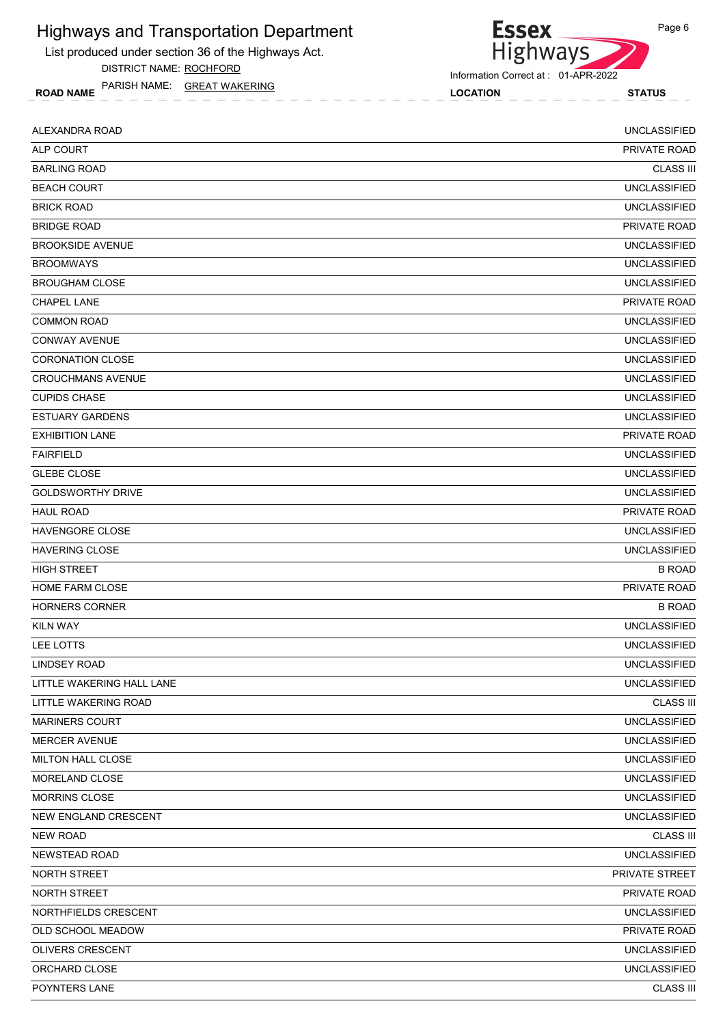List produced under section 36 of the Highways Act.

DISTRICT NAME: ROCHFORD

ROAD NAME LOCATION STATUS PARISH NAME: GREAT WAKERING



Information Correct at : 01-APR-2022

| ALEXANDRA ROAD            | <b>UNCLASSIFIED</b> |
|---------------------------|---------------------|
| ALP COURT                 | PRIVATE ROAD        |
| <b>BARLING ROAD</b>       | <b>CLASS III</b>    |
| <b>BEACH COURT</b>        | <b>UNCLASSIFIED</b> |
| <b>BRICK ROAD</b>         | <b>UNCLASSIFIED</b> |
| <b>BRIDGE ROAD</b>        | PRIVATE ROAD        |
| <b>BROOKSIDE AVENUE</b>   | <b>UNCLASSIFIED</b> |
| <b>BROOMWAYS</b>          | <b>UNCLASSIFIED</b> |
| <b>BROUGHAM CLOSE</b>     | <b>UNCLASSIFIED</b> |
| <b>CHAPEL LANE</b>        | PRIVATE ROAD        |
| <b>COMMON ROAD</b>        | <b>UNCLASSIFIED</b> |
| <b>CONWAY AVENUE</b>      | <b>UNCLASSIFIED</b> |
| <b>CORONATION CLOSE</b>   | <b>UNCLASSIFIED</b> |
| <b>CROUCHMANS AVENUE</b>  | <b>UNCLASSIFIED</b> |
| <b>CUPIDS CHASE</b>       | <b>UNCLASSIFIED</b> |
| <b>ESTUARY GARDENS</b>    | <b>UNCLASSIFIED</b> |
| <b>EXHIBITION LANE</b>    | PRIVATE ROAD        |
| <b>FAIRFIELD</b>          | <b>UNCLASSIFIED</b> |
| <b>GLEBE CLOSE</b>        | <b>UNCLASSIFIED</b> |
| <b>GOLDSWORTHY DRIVE</b>  | <b>UNCLASSIFIED</b> |
| <b>HAUL ROAD</b>          | PRIVATE ROAD        |
| <b>HAVENGORE CLOSE</b>    | <b>UNCLASSIFIED</b> |
| <b>HAVERING CLOSE</b>     | <b>UNCLASSIFIED</b> |
| <b>HIGH STREET</b>        | <b>B ROAD</b>       |
| <b>HOME FARM CLOSE</b>    | PRIVATE ROAD        |
| <b>HORNERS CORNER</b>     | <b>B ROAD</b>       |
| <b>KILN WAY</b>           | <b>UNCLASSIFIED</b> |
| LEE LOTTS                 | <b>UNCLASSIFIED</b> |
| <b>LINDSEY ROAD</b>       | <b>UNCLASSIFIED</b> |
| LITTLE WAKERING HALL LANE | <b>UNCLASSIFIED</b> |
| LITTLE WAKERING ROAD      | <b>CLASS III</b>    |
| <b>MARINERS COURT</b>     | <b>UNCLASSIFIED</b> |
| <b>MERCER AVENUE</b>      | <b>UNCLASSIFIED</b> |
| MILTON HALL CLOSE         | <b>UNCLASSIFIED</b> |
| MORELAND CLOSE            | <b>UNCLASSIFIED</b> |
| <b>MORRINS CLOSE</b>      | <b>UNCLASSIFIED</b> |
| NEW ENGLAND CRESCENT      | <b>UNCLASSIFIED</b> |
| <b>NEW ROAD</b>           | <b>CLASS III</b>    |
| NEWSTEAD ROAD             | <b>UNCLASSIFIED</b> |
| NORTH STREET              | PRIVATE STREET      |
| NORTH STREET              | PRIVATE ROAD        |
| NORTHFIELDS CRESCENT      | <b>UNCLASSIFIED</b> |
| OLD SCHOOL MEADOW         | PRIVATE ROAD        |
| OLIVERS CRESCENT          | <b>UNCLASSIFIED</b> |
| ORCHARD CLOSE             | <b>UNCLASSIFIED</b> |
| POYNTERS LANE             | <b>CLASS III</b>    |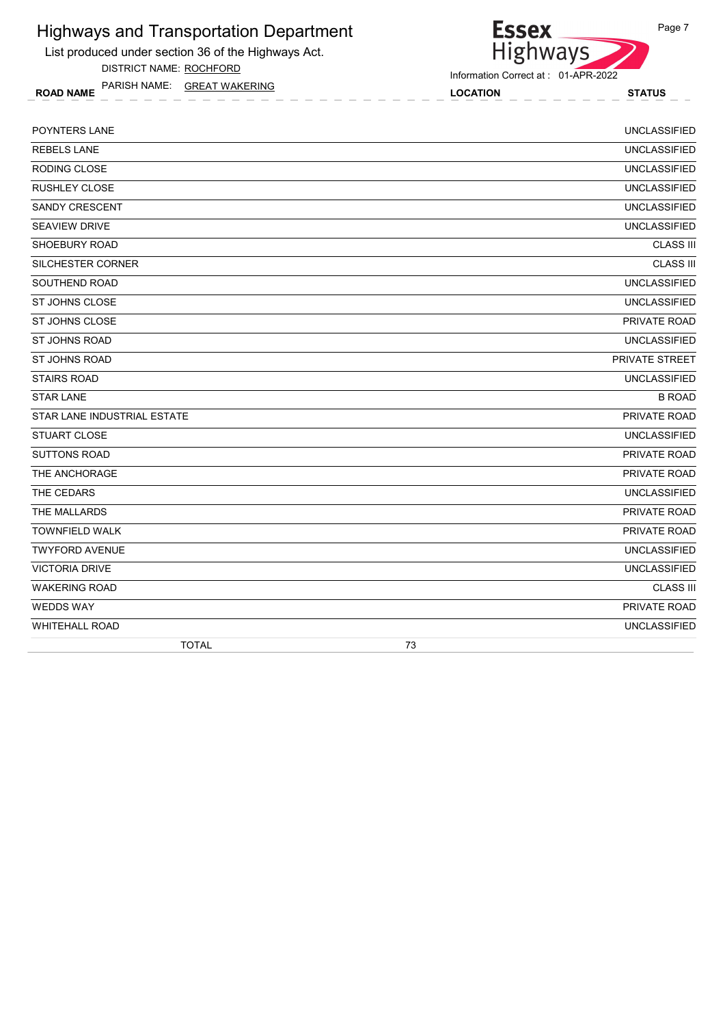List produced under section 36 of the Highways Act.

DISTRICT NAME: ROCHFORD

ROAD NAME LOCATION STATUS PARISH NAME: GREAT WAKERING

Information Correct at : 01-APR-2022

Essex<br>Highways

| POYNTERS LANE               | <b>UNCLASSIFIED</b> |
|-----------------------------|---------------------|
| <b>REBELS LANE</b>          | <b>UNCLASSIFIED</b> |
| <b>RODING CLOSE</b>         | <b>UNCLASSIFIED</b> |
| <b>RUSHLEY CLOSE</b>        | <b>UNCLASSIFIED</b> |
| <b>SANDY CRESCENT</b>       | <b>UNCLASSIFIED</b> |
| <b>SEAVIEW DRIVE</b>        | <b>UNCLASSIFIED</b> |
| SHOEBURY ROAD               | <b>CLASS III</b>    |
| SILCHESTER CORNER           | <b>CLASS III</b>    |
| SOUTHEND ROAD               | <b>UNCLASSIFIED</b> |
| <b>ST JOHNS CLOSE</b>       | <b>UNCLASSIFIED</b> |
| <b>ST JOHNS CLOSE</b>       | PRIVATE ROAD        |
| <b>ST JOHNS ROAD</b>        | <b>UNCLASSIFIED</b> |
| <b>ST JOHNS ROAD</b>        | PRIVATE STREET      |
| <b>STAIRS ROAD</b>          | <b>UNCLASSIFIED</b> |
| <b>STAR LANE</b>            | <b>B ROAD</b>       |
| STAR LANE INDUSTRIAL ESTATE | PRIVATE ROAD        |
| <b>STUART CLOSE</b>         | <b>UNCLASSIFIED</b> |
| <b>SUTTONS ROAD</b>         | PRIVATE ROAD        |
| THE ANCHORAGE               | PRIVATE ROAD        |
| THE CEDARS                  | <b>UNCLASSIFIED</b> |
| THE MALLARDS                | PRIVATE ROAD        |
| <b>TOWNFIELD WALK</b>       | PRIVATE ROAD        |
| <b>TWYFORD AVENUE</b>       | <b>UNCLASSIFIED</b> |
| <b>VICTORIA DRIVE</b>       | <b>UNCLASSIFIED</b> |
| <b>WAKERING ROAD</b>        | <b>CLASS III</b>    |
| <b>WEDDS WAY</b>            | PRIVATE ROAD        |
| <b>WHITEHALL ROAD</b>       | <b>UNCLASSIFIED</b> |
| <b>TOTAL</b>                | 73                  |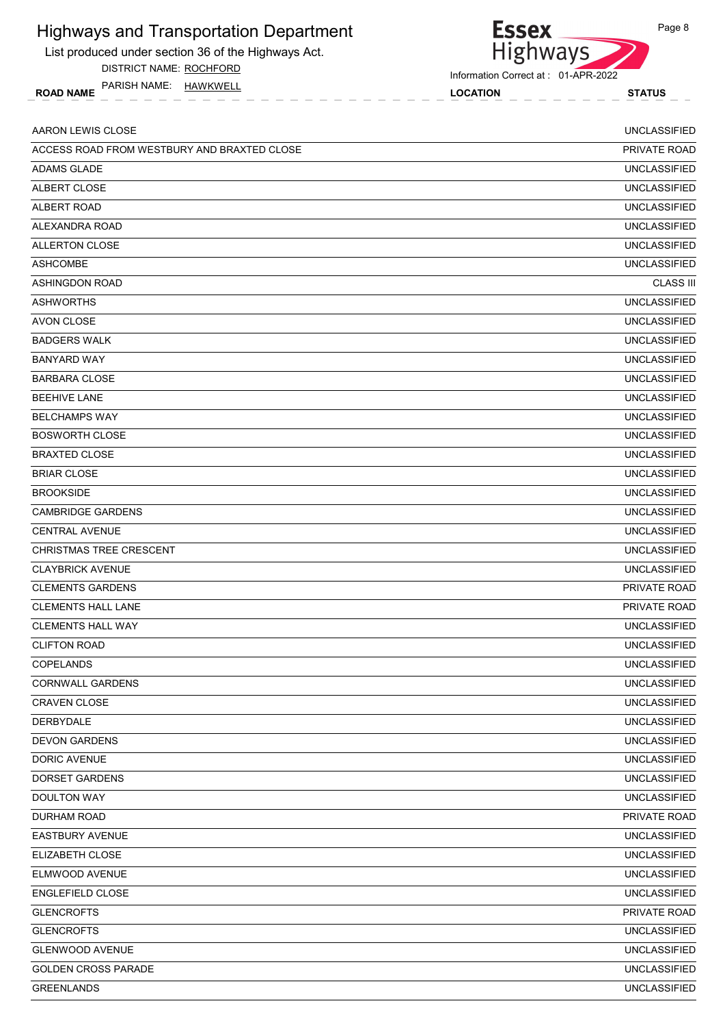List produced under section 36 of the Highways Act.

DISTRICT NAME: ROCHFORD

ROAD NAME LOCATION STATUS PARISH NAME: HAWKWELL



**Essex** 

| AARON LEWIS CLOSE                           | <b>UNCLASSIFIED</b> |
|---------------------------------------------|---------------------|
| ACCESS ROAD FROM WESTBURY AND BRAXTED CLOSE | PRIVATE ROAD        |
| <b>ADAMS GLADE</b>                          | <b>UNCLASSIFIED</b> |
| ALBERT CLOSE                                | <b>UNCLASSIFIED</b> |
| <b>ALBERT ROAD</b>                          | <b>UNCLASSIFIED</b> |
| ALEXANDRA ROAD                              | <b>UNCLASSIFIED</b> |
| <b>ALLERTON CLOSE</b>                       | <b>UNCLASSIFIED</b> |
| <b>ASHCOMBE</b>                             | <b>UNCLASSIFIED</b> |
| <b>ASHINGDON ROAD</b>                       | <b>CLASS III</b>    |
| <b>ASHWORTHS</b>                            | <b>UNCLASSIFIED</b> |
| AVON CLOSE                                  | <b>UNCLASSIFIED</b> |
| <b>BADGERS WALK</b>                         | <b>UNCLASSIFIED</b> |
| <b>BANYARD WAY</b>                          | <b>UNCLASSIFIED</b> |
| <b>BARBARA CLOSE</b>                        | <b>UNCLASSIFIED</b> |
| <b>BEEHIVE LANE</b>                         | <b>UNCLASSIFIED</b> |
| <b>BELCHAMPS WAY</b>                        | <b>UNCLASSIFIED</b> |
| <b>BOSWORTH CLOSE</b>                       | <b>UNCLASSIFIED</b> |
| <b>BRAXTED CLOSE</b>                        | <b>UNCLASSIFIED</b> |
| <b>BRIAR CLOSE</b>                          | <b>UNCLASSIFIED</b> |
| <b>BROOKSIDE</b>                            | <b>UNCLASSIFIED</b> |
| <b>CAMBRIDGE GARDENS</b>                    | <b>UNCLASSIFIED</b> |
| <b>CENTRAL AVENUE</b>                       | <b>UNCLASSIFIED</b> |
| <b>CHRISTMAS TREE CRESCENT</b>              | <b>UNCLASSIFIED</b> |
| <b>CLAYBRICK AVENUE</b>                     | <b>UNCLASSIFIED</b> |
| <b>CLEMENTS GARDENS</b>                     | PRIVATE ROAD        |
| <b>CLEMENTS HALL LANE</b>                   | <b>PRIVATE ROAD</b> |
| <b>CLEMENTS HALL WAY</b>                    | <b>UNCLASSIFIED</b> |
| <b>CLIFTON ROAD</b>                         | <b>UNCLASSIFIED</b> |
| <b>COPELANDS</b>                            | <b>UNCLASSIFIED</b> |
| CORNWALL GARDENS                            | <b>UNCLASSIFIED</b> |
| CRAVEN CLOSE                                | <b>UNCLASSIFIED</b> |
| DERBYDALE                                   | <b>UNCLASSIFIED</b> |
| <b>DEVON GARDENS</b>                        | <b>UNCLASSIFIED</b> |
| DORIC AVENUE                                | <b>UNCLASSIFIED</b> |
| <b>DORSET GARDENS</b>                       | <b>UNCLASSIFIED</b> |
| <b>DOULTON WAY</b>                          | <b>UNCLASSIFIED</b> |
| DURHAM ROAD                                 | PRIVATE ROAD        |
| <b>EASTBURY AVENUE</b>                      | <b>UNCLASSIFIED</b> |
| ELIZABETH CLOSE                             | <b>UNCLASSIFIED</b> |
| ELMWOOD AVENUE                              | <b>UNCLASSIFIED</b> |
| ENGLEFIELD CLOSE                            | <b>UNCLASSIFIED</b> |
| <b>GLENCROFTS</b>                           | PRIVATE ROAD        |
| <b>GLENCROFTS</b>                           | <b>UNCLASSIFIED</b> |
| <b>GLENWOOD AVENUE</b>                      | <b>UNCLASSIFIED</b> |
| <b>GOLDEN CROSS PARADE</b>                  | <b>UNCLASSIFIED</b> |
| <b>GREENLANDS</b>                           | <b>UNCLASSIFIED</b> |
|                                             |                     |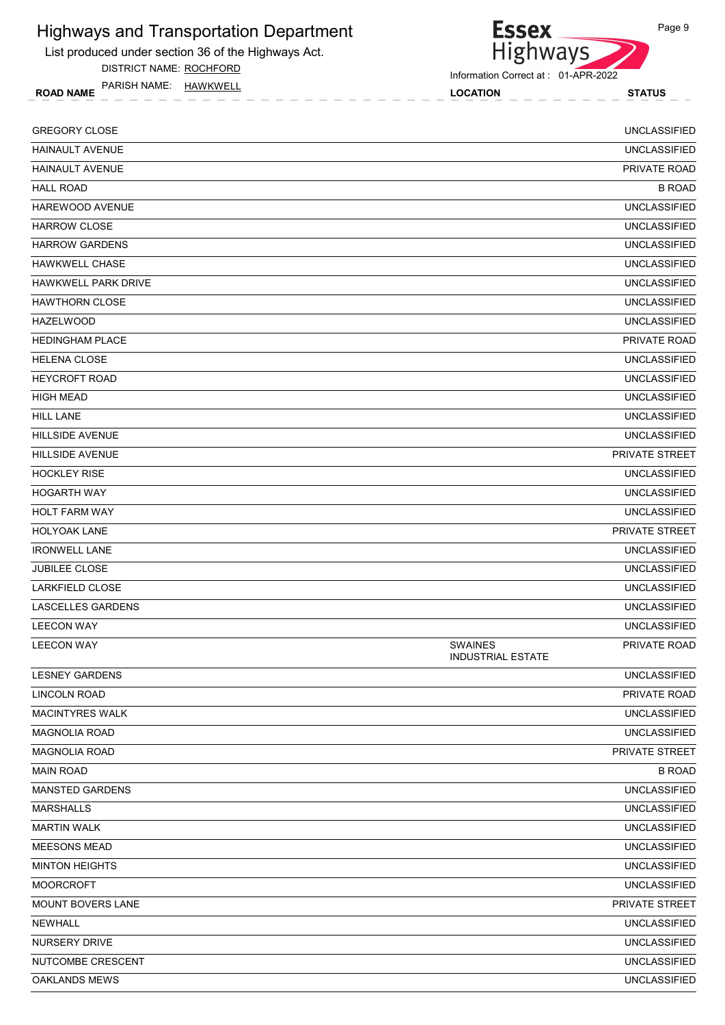

DISTRICT NAME: ROCHFORD

ROAD NAME LOCATION STATUS PARISH NAME: HAWKWELL



Information Correct at : 01-APR-2022

| <b>GREGORY CLOSE</b>       |                                            | <b>UNCLASSIFIED</b> |
|----------------------------|--------------------------------------------|---------------------|
| <b>HAINAULT AVENUE</b>     |                                            | <b>UNCLASSIFIED</b> |
| <b>HAINAULT AVENUE</b>     |                                            | PRIVATE ROAD        |
| <b>HALL ROAD</b>           |                                            | <b>B ROAD</b>       |
| HAREWOOD AVENUE            |                                            | <b>UNCLASSIFIED</b> |
| <b>HARROW CLOSE</b>        |                                            | <b>UNCLASSIFIED</b> |
| <b>HARROW GARDENS</b>      |                                            | <b>UNCLASSIFIED</b> |
| <b>HAWKWELL CHASE</b>      |                                            | <b>UNCLASSIFIED</b> |
| <b>HAWKWELL PARK DRIVE</b> |                                            | <b>UNCLASSIFIED</b> |
| <b>HAWTHORN CLOSE</b>      |                                            | <b>UNCLASSIFIED</b> |
| <b>HAZELWOOD</b>           |                                            | <b>UNCLASSIFIED</b> |
| <b>HEDINGHAM PLACE</b>     |                                            | PRIVATE ROAD        |
| <b>HELENA CLOSE</b>        |                                            | <b>UNCLASSIFIED</b> |
| <b>HEYCROFT ROAD</b>       |                                            | <b>UNCLASSIFIED</b> |
| <b>HIGH MEAD</b>           |                                            | <b>UNCLASSIFIED</b> |
| <b>HILL LANE</b>           |                                            | <b>UNCLASSIFIED</b> |
| <b>HILLSIDE AVENUE</b>     |                                            | <b>UNCLASSIFIED</b> |
| <b>HILLSIDE AVENUE</b>     |                                            | PRIVATE STREET      |
| <b>HOCKLEY RISE</b>        |                                            | <b>UNCLASSIFIED</b> |
| <b>HOGARTH WAY</b>         |                                            | <b>UNCLASSIFIED</b> |
| <b>HOLT FARM WAY</b>       |                                            | <b>UNCLASSIFIED</b> |
| <b>HOLYOAK LANE</b>        |                                            | PRIVATE STREET      |
| <b>IRONWELL LANE</b>       |                                            | <b>UNCLASSIFIED</b> |
| <b>JUBILEE CLOSE</b>       |                                            | <b>UNCLASSIFIED</b> |
| <b>LARKFIELD CLOSE</b>     |                                            | <b>UNCLASSIFIED</b> |
| <b>LASCELLES GARDENS</b>   |                                            | <b>UNCLASSIFIED</b> |
| <b>LEECON WAY</b>          |                                            | <b>UNCLASSIFIED</b> |
| <b>LEECON WAY</b>          | <b>SWAINES</b><br><b>INDUSTRIAL ESTATE</b> | PRIVATE ROAD        |
| <b>LESNEY GARDENS</b>      |                                            | <b>UNCLASSIFIED</b> |
| LINCOLN ROAD               |                                            | PRIVATE ROAD        |
| <b>MACINTYRES WALK</b>     |                                            | <b>UNCLASSIFIED</b> |
| <b>MAGNOLIA ROAD</b>       |                                            | <b>UNCLASSIFIED</b> |
| <b>MAGNOLIA ROAD</b>       |                                            | PRIVATE STREET      |
| <b>MAIN ROAD</b>           |                                            | <b>B ROAD</b>       |
| MANSTED GARDENS            |                                            | <b>UNCLASSIFIED</b> |
| <b>MARSHALLS</b>           |                                            | <b>UNCLASSIFIED</b> |
| <b>MARTIN WALK</b>         |                                            | <b>UNCLASSIFIED</b> |
| <b>MEESONS MEAD</b>        |                                            | <b>UNCLASSIFIED</b> |
| <b>MINTON HEIGHTS</b>      |                                            | <b>UNCLASSIFIED</b> |
| <b>MOORCROFT</b>           |                                            | <b>UNCLASSIFIED</b> |
| <b>MOUNT BOVERS LANE</b>   |                                            | PRIVATE STREET      |
| <b>NEWHALL</b>             |                                            | <b>UNCLASSIFIED</b> |
| NURSERY DRIVE              |                                            | <b>UNCLASSIFIED</b> |
| NUTCOMBE CRESCENT          |                                            | <b>UNCLASSIFIED</b> |
| <b>OAKLANDS MEWS</b>       |                                            | <b>UNCLASSIFIED</b> |
|                            |                                            |                     |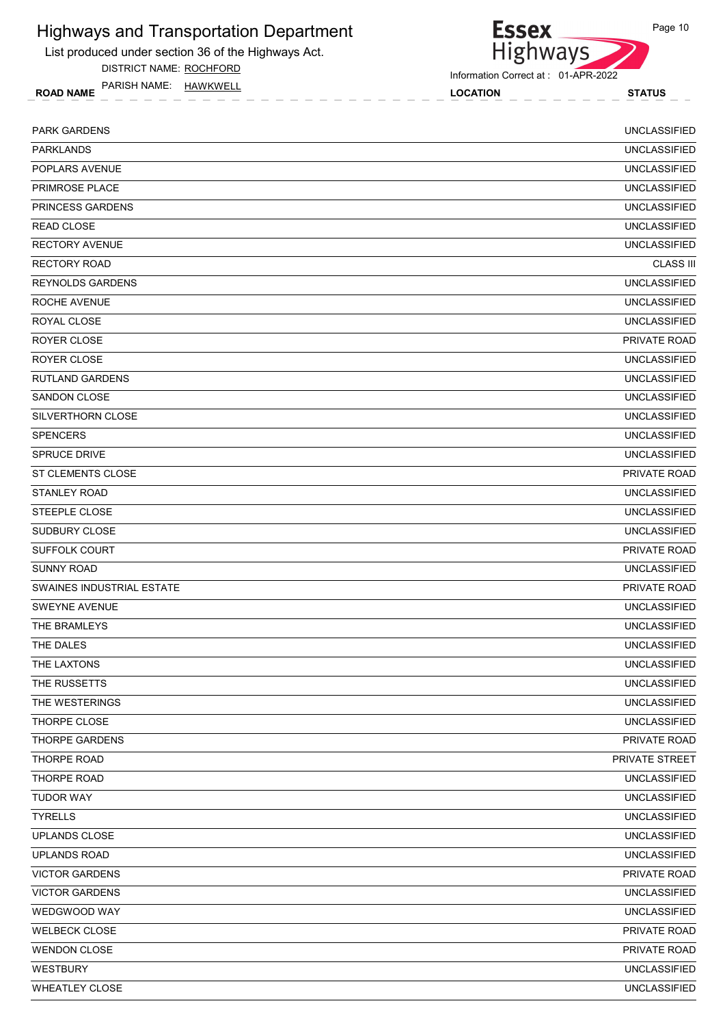List produced under section 36 of the Highways Act.

DISTRICT NAME: ROCHFORD

ROAD NAME LOCATION STATUS PARISH NAME: HAWKWELL



Information Correct at : 01-APR-2022

| <b>PARK GARDENS</b>       | <b>UNCLASSIFIED</b> |
|---------------------------|---------------------|
| <b>PARKLANDS</b>          | <b>UNCLASSIFIED</b> |
| POPLARS AVENUE            | <b>UNCLASSIFIED</b> |
| PRIMROSE PLACE            | <b>UNCLASSIFIED</b> |
| PRINCESS GARDENS          | <b>UNCLASSIFIED</b> |
| <b>READ CLOSE</b>         | <b>UNCLASSIFIED</b> |
| <b>RECTORY AVENUE</b>     | <b>UNCLASSIFIED</b> |
| <b>RECTORY ROAD</b>       | <b>CLASS III</b>    |
| <b>REYNOLDS GARDENS</b>   | <b>UNCLASSIFIED</b> |
| ROCHE AVENUE              | <b>UNCLASSIFIED</b> |
| ROYAL CLOSE               | <b>UNCLASSIFIED</b> |
| ROYER CLOSE               | PRIVATE ROAD        |
| ROYER CLOSE               | <b>UNCLASSIFIED</b> |
| <b>RUTLAND GARDENS</b>    | <b>UNCLASSIFIED</b> |
| SANDON CLOSE              | <b>UNCLASSIFIED</b> |
| SILVERTHORN CLOSE         | <b>UNCLASSIFIED</b> |
| <b>SPENCERS</b>           | <b>UNCLASSIFIED</b> |
| <b>SPRUCE DRIVE</b>       | <b>UNCLASSIFIED</b> |
| <b>ST CLEMENTS CLOSE</b>  | PRIVATE ROAD        |
| STANLEY ROAD              | <b>UNCLASSIFIED</b> |
| STEEPLE CLOSE             | <b>UNCLASSIFIED</b> |
| SUDBURY CLOSE             | <b>UNCLASSIFIED</b> |
| <b>SUFFOLK COURT</b>      | PRIVATE ROAD        |
| <b>SUNNY ROAD</b>         | <b>UNCLASSIFIED</b> |
| SWAINES INDUSTRIAL ESTATE | PRIVATE ROAD        |
| <b>SWEYNE AVENUE</b>      | <b>UNCLASSIFIED</b> |
| THE BRAMLEYS              | <b>UNCLASSIFIED</b> |
| THE DALES                 | <b>UNCLASSIFIED</b> |
| THE LAXTONS               | <b>UNCLASSIFIED</b> |
| THE RUSSETTS              | <b>UNCLASSIFIED</b> |
| THE WESTERINGS            | <b>UNCLASSIFIED</b> |
| THORPE CLOSE              | <b>UNCLASSIFIED</b> |
| <b>THORPE GARDENS</b>     | PRIVATE ROAD        |
| THORPE ROAD               | PRIVATE STREET      |
| <b>THORPE ROAD</b>        | <b>UNCLASSIFIED</b> |
| <b>TUDOR WAY</b>          | <b>UNCLASSIFIED</b> |
| <b>TYRELLS</b>            | <b>UNCLASSIFIED</b> |
| <b>UPLANDS CLOSE</b>      | <b>UNCLASSIFIED</b> |
| <b>UPLANDS ROAD</b>       | <b>UNCLASSIFIED</b> |
| <b>VICTOR GARDENS</b>     | PRIVATE ROAD        |
| <b>VICTOR GARDENS</b>     | <b>UNCLASSIFIED</b> |
| WEDGWOOD WAY              | <b>UNCLASSIFIED</b> |
| <b>WELBECK CLOSE</b>      | PRIVATE ROAD        |
| <b>WENDON CLOSE</b>       | PRIVATE ROAD        |
| <b>WESTBURY</b>           | <b>UNCLASSIFIED</b> |
| <b>WHEATLEY CLOSE</b>     | <b>UNCLASSIFIED</b> |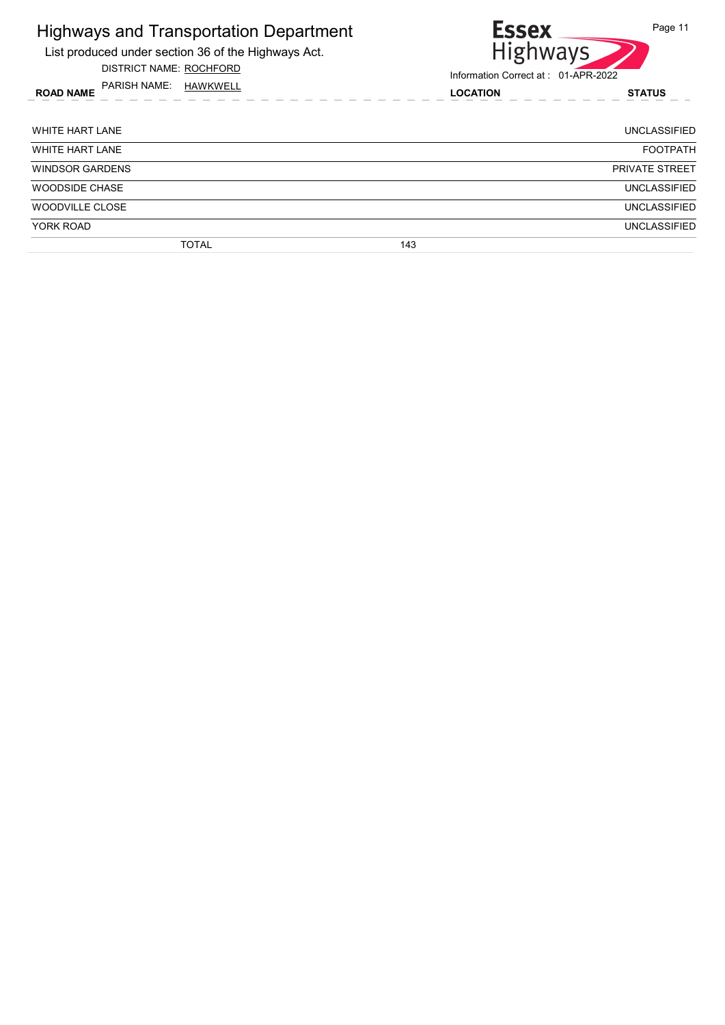| <b>Highways and Transportation Department</b><br>List produced under section 36 of the Highways Act.<br><b>DISTRICT NAME: ROCHFORD</b> | Page 11<br><b>Essex</b><br><b>Highways</b><br>Information Correct at: 01-APR-2022 |                       |
|----------------------------------------------------------------------------------------------------------------------------------------|-----------------------------------------------------------------------------------|-----------------------|
| PARISH NAME:<br>HAWKWELL<br><b>ROAD NAME</b>                                                                                           | <b>LOCATION</b>                                                                   | <b>STATUS</b>         |
| <b>WHITE HART LANE</b>                                                                                                                 |                                                                                   | UNCLASSIFIED          |
| <b>WHITE HART LANE</b>                                                                                                                 |                                                                                   | <b>FOOTPATH</b>       |
| <b>WINDSOR GARDENS</b>                                                                                                                 |                                                                                   | <b>PRIVATE STREET</b> |
| <b>WOODSIDE CHASE</b>                                                                                                                  |                                                                                   | <b>UNCLASSIFIED</b>   |
| <b>WOODVILLE CLOSE</b>                                                                                                                 |                                                                                   | <b>UNCLASSIFIED</b>   |
| YORK ROAD                                                                                                                              |                                                                                   | <b>UNCLASSIFIED</b>   |
| TOTAL                                                                                                                                  | 143                                                                               |                       |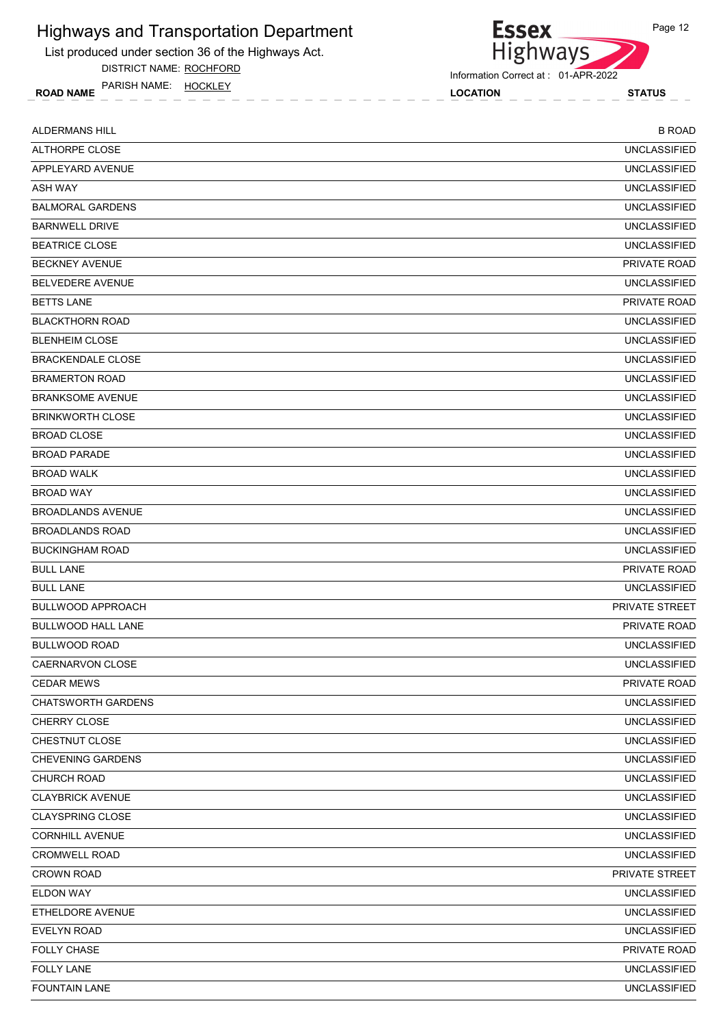List produced under section 36 of the Highways Act.

DISTRICT NAME: ROCHFORD

ROAD NAME LOCATION STATUS PARISH NAME: HOCKLEY

Essex<br>Highways Information Correct at : 01-APR-2022

| <b>ALDERMANS HILL</b>     | <b>B ROAD</b>         |
|---------------------------|-----------------------|
| ALTHORPE CLOSE            | <b>UNCLASSIFIED</b>   |
| APPLEYARD AVENUE          | <b>UNCLASSIFIED</b>   |
| <b>ASH WAY</b>            | <b>UNCLASSIFIED</b>   |
| <b>BALMORAL GARDENS</b>   | <b>UNCLASSIFIED</b>   |
| <b>BARNWELL DRIVE</b>     | <b>UNCLASSIFIED</b>   |
| <b>BEATRICE CLOSE</b>     | <b>UNCLASSIFIED</b>   |
| <b>BECKNEY AVENUE</b>     | PRIVATE ROAD          |
| BELVEDERE AVENUE          | <b>UNCLASSIFIED</b>   |
| <b>BETTS LANE</b>         | <b>PRIVATE ROAD</b>   |
| <b>BLACKTHORN ROAD</b>    | <b>UNCLASSIFIED</b>   |
| <b>BLENHEIM CLOSE</b>     | <b>UNCLASSIFIED</b>   |
| <b>BRACKENDALE CLOSE</b>  | <b>UNCLASSIFIED</b>   |
| <b>BRAMERTON ROAD</b>     | <b>UNCLASSIFIED</b>   |
| <b>BRANKSOME AVENUE</b>   | <b>UNCLASSIFIED</b>   |
| <b>BRINKWORTH CLOSE</b>   | <b>UNCLASSIFIED</b>   |
| <b>BROAD CLOSE</b>        | <b>UNCLASSIFIED</b>   |
| <b>BROAD PARADE</b>       | <b>UNCLASSIFIED</b>   |
| <b>BROAD WALK</b>         | <b>UNCLASSIFIED</b>   |
| <b>BROAD WAY</b>          | <b>UNCLASSIFIED</b>   |
| <b>BROADLANDS AVENUE</b>  | <b>UNCLASSIFIED</b>   |
| <b>BROADLANDS ROAD</b>    | <b>UNCLASSIFIED</b>   |
| <b>BUCKINGHAM ROAD</b>    | <b>UNCLASSIFIED</b>   |
| <b>BULL LANE</b>          | PRIVATE ROAD          |
| <b>BULL LANE</b>          | <b>UNCLASSIFIED</b>   |
| <b>BULLWOOD APPROACH</b>  | <b>PRIVATE STREET</b> |
| BULLWOOD HALL LANE        | PRIVATE ROAD          |
| <b>BULLWOOD ROAD</b>      | <b>UNCLASSIFIED</b>   |
| CAERNARVON CLOSE          | <b>UNCLASSIFIED</b>   |
| <b>CEDAR MEWS</b>         | PRIVATE ROAD          |
| <b>CHATSWORTH GARDENS</b> | <b>UNCLASSIFIED</b>   |
| CHERRY CLOSE              | <b>UNCLASSIFIED</b>   |
| CHESTNUT CLOSE            | <b>UNCLASSIFIED</b>   |
| <b>CHEVENING GARDENS</b>  | <b>UNCLASSIFIED</b>   |
| <b>CHURCH ROAD</b>        | <b>UNCLASSIFIED</b>   |
| <b>CLAYBRICK AVENUE</b>   | <b>UNCLASSIFIED</b>   |
| <b>CLAYSPRING CLOSE</b>   | <b>UNCLASSIFIED</b>   |
| <b>CORNHILL AVENUE</b>    | <b>UNCLASSIFIED</b>   |
| CROMWELL ROAD             | <b>UNCLASSIFIED</b>   |
| <b>CROWN ROAD</b>         | PRIVATE STREET        |
| ELDON WAY                 | <b>UNCLASSIFIED</b>   |
| ETHELDORE AVENUE          | <b>UNCLASSIFIED</b>   |
| <b>EVELYN ROAD</b>        | <b>UNCLASSIFIED</b>   |
| <b>FOLLY CHASE</b>        | PRIVATE ROAD          |
| <b>FOLLY LANE</b>         | <b>UNCLASSIFIED</b>   |
| <b>FOUNTAIN LANE</b>      | <b>UNCLASSIFIED</b>   |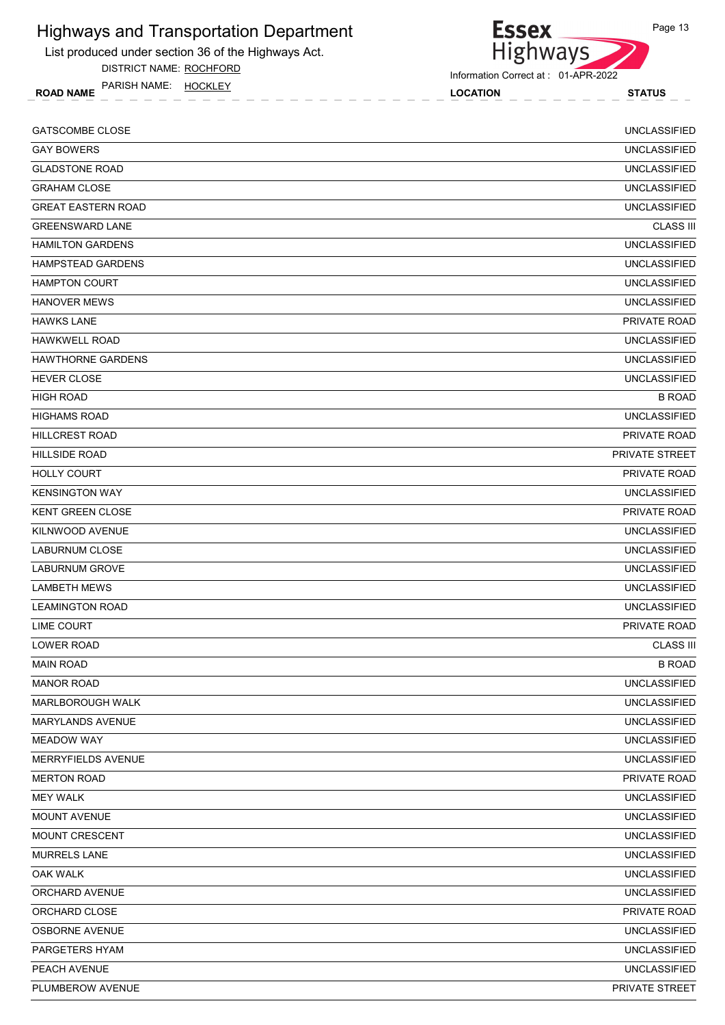List produced under section 36 of the Highways Act.

DISTRICT NAME: ROCHFORD

ROAD NAME LOCATION STATUS PARISH NAME: HOCKLEY



Information Correct at : 01-APR-2022

| <b>GATSCOMBE CLOSE</b>    | <b>UNCLASSIFIED</b> |
|---------------------------|---------------------|
| <b>GAY BOWERS</b>         | <b>UNCLASSIFIED</b> |
| <b>GLADSTONE ROAD</b>     | <b>UNCLASSIFIED</b> |
| <b>GRAHAM CLOSE</b>       | <b>UNCLASSIFIED</b> |
| <b>GREAT EASTERN ROAD</b> | <b>UNCLASSIFIED</b> |
| <b>GREENSWARD LANE</b>    | <b>CLASS III</b>    |
| <b>HAMILTON GARDENS</b>   | <b>UNCLASSIFIED</b> |
| <b>HAMPSTEAD GARDENS</b>  | <b>UNCLASSIFIED</b> |
| <b>HAMPTON COURT</b>      | <b>UNCLASSIFIED</b> |
| <b>HANOVER MEWS</b>       | <b>UNCLASSIFIED</b> |
| <b>HAWKS LANE</b>         | PRIVATE ROAD        |
| <b>HAWKWELL ROAD</b>      | <b>UNCLASSIFIED</b> |
| <b>HAWTHORNE GARDENS</b>  | <b>UNCLASSIFIED</b> |
| <b>HEVER CLOSE</b>        | <b>UNCLASSIFIED</b> |
| <b>HIGH ROAD</b>          | <b>B ROAD</b>       |
| <b>HIGHAMS ROAD</b>       | <b>UNCLASSIFIED</b> |
| <b>HILLCREST ROAD</b>     | PRIVATE ROAD        |
| <b>HILLSIDE ROAD</b>      | PRIVATE STREET      |
| <b>HOLLY COURT</b>        | PRIVATE ROAD        |
| <b>KENSINGTON WAY</b>     | <b>UNCLASSIFIED</b> |
| <b>KENT GREEN CLOSE</b>   | PRIVATE ROAD        |
| KILNWOOD AVENUE           | <b>UNCLASSIFIED</b> |
| <b>LABURNUM CLOSE</b>     | <b>UNCLASSIFIED</b> |
| LABURNUM GROVE            | <b>UNCLASSIFIED</b> |
| <b>LAMBETH MEWS</b>       | <b>UNCLASSIFIED</b> |
| <b>LEAMINGTON ROAD</b>    | <b>UNCLASSIFIED</b> |
| <b>LIME COURT</b>         | PRIVATE ROAD        |
| <b>LOWER ROAD</b>         | <b>CLASS III</b>    |
| <b>MAIN ROAD</b>          | <b>B ROAD</b>       |
| <b>MANOR ROAD</b>         | <b>UNCLASSIFIED</b> |
| MARLBOROUGH WALK          | <b>UNCLASSIFIED</b> |
| MARYLANDS AVENUE          | <b>UNCLASSIFIED</b> |
| <b>MEADOW WAY</b>         | <b>UNCLASSIFIED</b> |
| MERRYFIELDS AVENUE        | <b>UNCLASSIFIED</b> |
| <b>MERTON ROAD</b>        | PRIVATE ROAD        |
| <b>MEY WALK</b>           | <b>UNCLASSIFIED</b> |
| MOUNT AVENUE              | <b>UNCLASSIFIED</b> |
| MOUNT CRESCENT            | <b>UNCLASSIFIED</b> |
| <b>MURRELS LANE</b>       | <b>UNCLASSIFIED</b> |
| <b>OAK WALK</b>           | <b>UNCLASSIFIED</b> |
| ORCHARD AVENUE            | <b>UNCLASSIFIED</b> |
| ORCHARD CLOSE             | PRIVATE ROAD        |
| OSBORNE AVENUE            | <b>UNCLASSIFIED</b> |
| PARGETERS HYAM            | <b>UNCLASSIFIED</b> |
| PEACH AVENUE              | <b>UNCLASSIFIED</b> |
| PLUMBEROW AVENUE          | PRIVATE STREET      |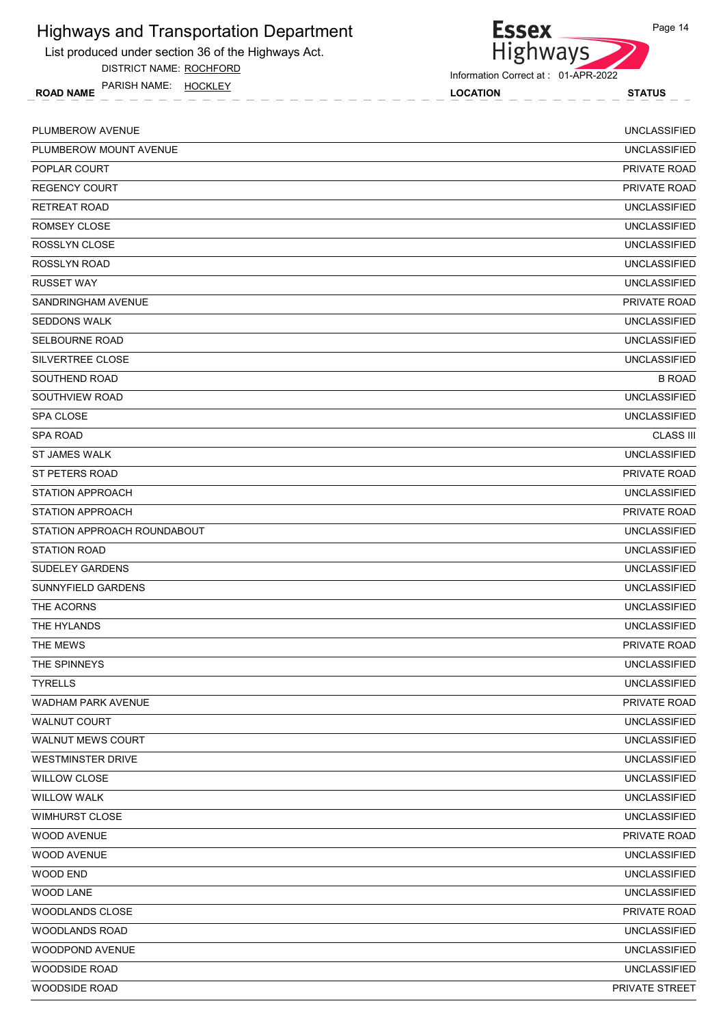List produced under section 36 of the Highways Act.

DISTRICT NAME: ROCHFORD

ROAD NAME LOCATION STATUS PARISH NAME: HOCKLEY



| PLUMBEROW AVENUE            | <b>UNCLASSIFIED</b> |
|-----------------------------|---------------------|
| PLUMBEROW MOUNT AVENUE      | <b>UNCLASSIFIED</b> |
| POPLAR COURT                | PRIVATE ROAD        |
| <b>REGENCY COURT</b>        | PRIVATE ROAD        |
| <b>RETREAT ROAD</b>         | <b>UNCLASSIFIED</b> |
| ROMSEY CLOSE                | <b>UNCLASSIFIED</b> |
| ROSSLYN CLOSE               | <b>UNCLASSIFIED</b> |
| ROSSLYN ROAD                | <b>UNCLASSIFIED</b> |
| <b>RUSSET WAY</b>           | <b>UNCLASSIFIED</b> |
| SANDRINGHAM AVENUE          | <b>PRIVATE ROAD</b> |
| <b>SEDDONS WALK</b>         | <b>UNCLASSIFIED</b> |
| <b>SELBOURNE ROAD</b>       | <b>UNCLASSIFIED</b> |
| SILVERTREE CLOSE            | <b>UNCLASSIFIED</b> |
| SOUTHEND ROAD               | <b>B ROAD</b>       |
| SOUTHVIEW ROAD              | <b>UNCLASSIFIED</b> |
| SPA CLOSE                   | <b>UNCLASSIFIED</b> |
| <b>SPA ROAD</b>             | <b>CLASS III</b>    |
| <b>ST JAMES WALK</b>        | <b>UNCLASSIFIED</b> |
| ST PETERS ROAD              | PRIVATE ROAD        |
| <b>STATION APPROACH</b>     | <b>UNCLASSIFIED</b> |
| <b>STATION APPROACH</b>     | PRIVATE ROAD        |
| STATION APPROACH ROUNDABOUT | <b>UNCLASSIFIED</b> |
| <b>STATION ROAD</b>         | <b>UNCLASSIFIED</b> |
| <b>SUDELEY GARDENS</b>      | <b>UNCLASSIFIED</b> |
| SUNNYFIELD GARDENS          | <b>UNCLASSIFIED</b> |
| THE ACORNS                  | <b>UNCLASSIFIED</b> |
| THE HYLANDS                 | <b>UNCLASSIFIED</b> |
| THE MEWS                    | <b>PRIVATE ROAD</b> |
| THE SPINNEYS                | <b>UNCLASSIFIED</b> |
| <b>TYRELLS</b>              | <b>UNCLASSIFIED</b> |
| WADHAM PARK AVENUE          | PRIVATE ROAD        |
| WALNUT COURT                | <b>UNCLASSIFIED</b> |
| <b>WALNUT MEWS COURT</b>    | <b>UNCLASSIFIED</b> |
| <b>WESTMINSTER DRIVE</b>    | <b>UNCLASSIFIED</b> |
| <b>WILLOW CLOSE</b>         | <b>UNCLASSIFIED</b> |
| <b>WILLOW WALK</b>          | <b>UNCLASSIFIED</b> |
| WIMHURST CLOSE              | <b>UNCLASSIFIED</b> |
| <b>WOOD AVENUE</b>          | PRIVATE ROAD        |
| WOOD AVENUE                 | <b>UNCLASSIFIED</b> |
| WOOD END                    | <b>UNCLASSIFIED</b> |
| WOOD LANE                   | <b>UNCLASSIFIED</b> |
| WOODLANDS CLOSE             | PRIVATE ROAD        |
| <b>WOODLANDS ROAD</b>       | <b>UNCLASSIFIED</b> |
| WOODPOND AVENUE             | <b>UNCLASSIFIED</b> |
| WOODSIDE ROAD               | <b>UNCLASSIFIED</b> |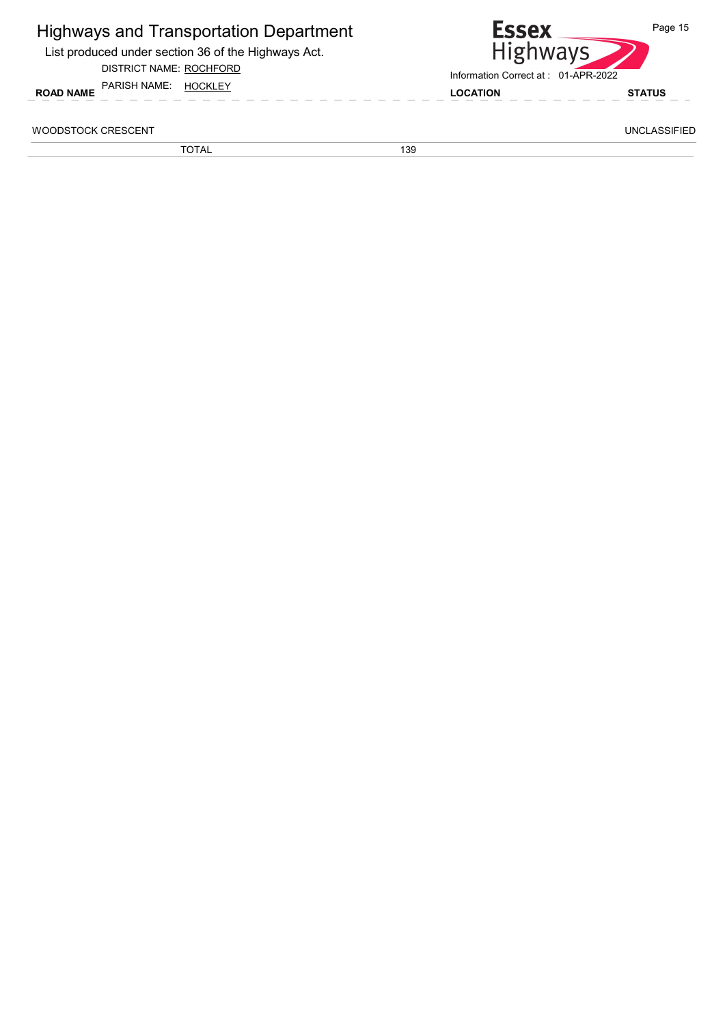| <b>Highways and Transportation Department</b> |  |
|-----------------------------------------------|--|
|-----------------------------------------------|--|

List produced under section 36 of the Highways Act.

#### DISTRICT NAME: ROCHFORD



WOODSTOCK CRESCENT UNCLASSIFIED

TOTAL 139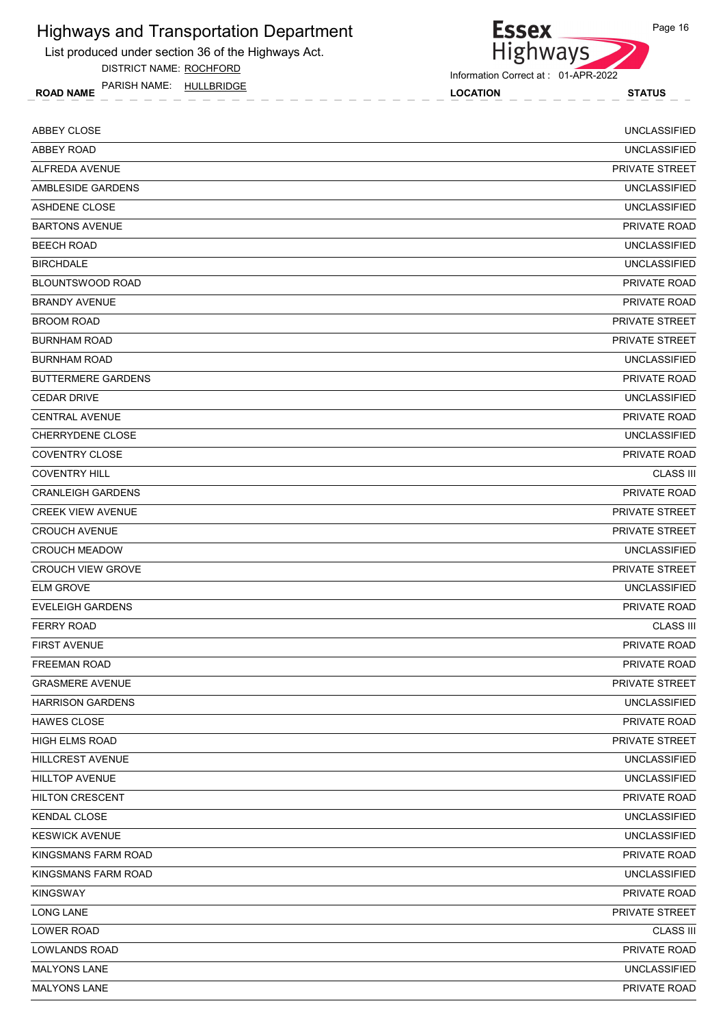List produced under section 36 of the Highways Act.

DISTRICT NAME: ROCHFORD

ROAD NAME LOCATION STATUS PARISH NAME: HULLBRIDGE



Information Correct at : 01-APR-2022

| ABBEY CLOSE               | <b>UNCLASSIFIED</b>   |
|---------------------------|-----------------------|
| <b>ABBEY ROAD</b>         | <b>UNCLASSIFIED</b>   |
| ALFREDA AVENUE            | PRIVATE STREET        |
| AMBLESIDE GARDENS         | <b>UNCLASSIFIED</b>   |
| <b>ASHDENE CLOSE</b>      | <b>UNCLASSIFIED</b>   |
| <b>BARTONS AVENUE</b>     | <b>PRIVATE ROAD</b>   |
| <b>BEECH ROAD</b>         | <b>UNCLASSIFIED</b>   |
| <b>BIRCHDALE</b>          | <b>UNCLASSIFIED</b>   |
| <b>BLOUNTSWOOD ROAD</b>   | PRIVATE ROAD          |
| <b>BRANDY AVENUE</b>      | PRIVATE ROAD          |
| <b>BROOM ROAD</b>         | <b>PRIVATE STREET</b> |
| <b>BURNHAM ROAD</b>       | PRIVATE STREET        |
| <b>BURNHAM ROAD</b>       | <b>UNCLASSIFIED</b>   |
| <b>BUTTERMERE GARDENS</b> | <b>PRIVATE ROAD</b>   |
| <b>CEDAR DRIVE</b>        | <b>UNCLASSIFIED</b>   |
| <b>CENTRAL AVENUE</b>     | PRIVATE ROAD          |
| <b>CHERRYDENE CLOSE</b>   | <b>UNCLASSIFIED</b>   |
| <b>COVENTRY CLOSE</b>     | PRIVATE ROAD          |
| <b>COVENTRY HILL</b>      | <b>CLASS III</b>      |
| <b>CRANLEIGH GARDENS</b>  | PRIVATE ROAD          |
| <b>CREEK VIEW AVENUE</b>  | PRIVATE STREET        |
| <b>CROUCH AVENUE</b>      | PRIVATE STREET        |
| <b>CROUCH MEADOW</b>      | <b>UNCLASSIFIED</b>   |
| <b>CROUCH VIEW GROVE</b>  | PRIVATE STREET        |
| <b>ELM GROVE</b>          | <b>UNCLASSIFIED</b>   |
| <b>EVELEIGH GARDENS</b>   | PRIVATE ROAD          |
| <b>FERRY ROAD</b>         | <b>CLASS III</b>      |
| <b>FIRST AVENUE</b>       | PRIVATE ROAD          |
| FREEMAN ROAD              | PRIVATE ROAD          |
| <b>GRASMERE AVENUE</b>    | PRIVATE STREET        |
| <b>HARRISON GARDENS</b>   | <b>UNCLASSIFIED</b>   |
| <b>HAWES CLOSE</b>        | PRIVATE ROAD          |
| HIGH ELMS ROAD            | PRIVATE STREET        |
| HILLCREST AVENUE          | <b>UNCLASSIFIED</b>   |
| HILLTOP AVENUE            | <b>UNCLASSIFIED</b>   |
| <b>HILTON CRESCENT</b>    | PRIVATE ROAD          |
| <b>KENDAL CLOSE</b>       | <b>UNCLASSIFIED</b>   |
| <b>KESWICK AVENUE</b>     | <b>UNCLASSIFIED</b>   |
| KINGSMANS FARM ROAD       | PRIVATE ROAD          |
| KINGSMANS FARM ROAD       | UNCLASSIFIED          |
| <b>KINGSWAY</b>           | PRIVATE ROAD          |
| <b>LONG LANE</b>          | PRIVATE STREET        |
| LOWER ROAD                | <b>CLASS III</b>      |
| <b>LOWLANDS ROAD</b>      | PRIVATE ROAD          |
| <b>MALYONS LANE</b>       | <b>UNCLASSIFIED</b>   |
| <b>MALYONS LANE</b>       | PRIVATE ROAD          |
|                           |                       |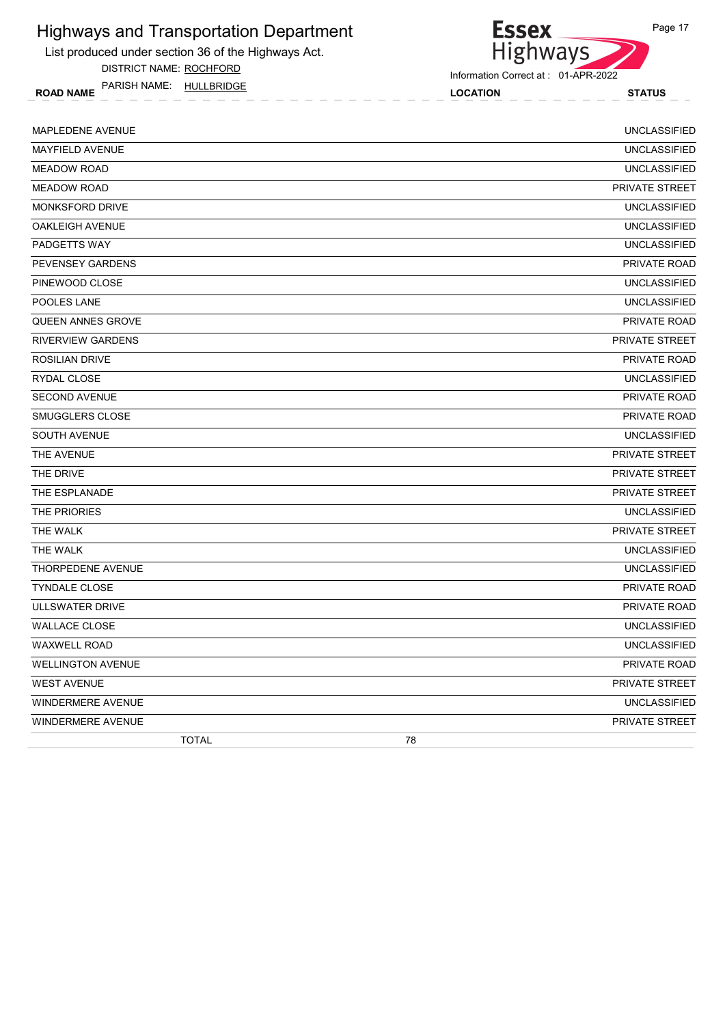

DISTRICT NAME: ROCHFORD

ROAD NAME LOCATION STATUS PARISH NAME: HULLBRIDGE



| <b>TOTAL</b>             | 78                    |
|--------------------------|-----------------------|
| <b>WINDERMERE AVENUE</b> | PRIVATE STREET        |
| WINDERMERE AVENUE        | <b>UNCLASSIFIED</b>   |
| <b>WEST AVENUE</b>       | PRIVATE STREET        |
| <b>WELLINGTON AVENUE</b> | PRIVATE ROAD          |
| <b>WAXWELL ROAD</b>      | <b>UNCLASSIFIED</b>   |
| <b>WALLACE CLOSE</b>     | <b>UNCLASSIFIED</b>   |
| ULLSWATER DRIVE          | <b>PRIVATE ROAD</b>   |
| <b>TYNDALE CLOSE</b>     | <b>PRIVATE ROAD</b>   |
| THORPEDENE AVENUE        | <b>UNCLASSIFIED</b>   |
| THE WALK                 | <b>UNCLASSIFIED</b>   |
| THE WALK                 | PRIVATE STREET        |
| THE PRIORIES             | <b>UNCLASSIFIED</b>   |
| THE ESPLANADE            | <b>PRIVATE STREET</b> |
| THE DRIVE                | <b>PRIVATE STREET</b> |
| THE AVENUE               | <b>PRIVATE STREET</b> |
| <b>SOUTH AVENUE</b>      | <b>UNCLASSIFIED</b>   |
| SMUGGLERS CLOSE          | PRIVATE ROAD          |
| <b>SECOND AVENUE</b>     | <b>PRIVATE ROAD</b>   |
| RYDAL CLOSE              | <b>UNCLASSIFIED</b>   |
| <b>ROSILIAN DRIVE</b>    | <b>PRIVATE ROAD</b>   |
| <b>RIVERVIEW GARDENS</b> | <b>PRIVATE STREET</b> |
| <b>QUEEN ANNES GROVE</b> | <b>PRIVATE ROAD</b>   |
| POOLES LANE              | <b>UNCLASSIFIED</b>   |
| PINEWOOD CLOSE           | <b>UNCLASSIFIED</b>   |
| PEVENSEY GARDENS         | <b>PRIVATE ROAD</b>   |
| PADGETTS WAY             | <b>UNCLASSIFIED</b>   |
| <b>OAKLEIGH AVENUE</b>   | <b>UNCLASSIFIED</b>   |
| MONKSFORD DRIVE          | <b>UNCLASSIFIED</b>   |
| <b>MEADOW ROAD</b>       | PRIVATE STREET        |
| <b>MEADOW ROAD</b>       | <b>UNCLASSIFIED</b>   |
| MAYFIELD AVENUE          | <b>UNCLASSIFIED</b>   |
| MAPLEDENE AVENUE         | <b>UNCLASSIFIED</b>   |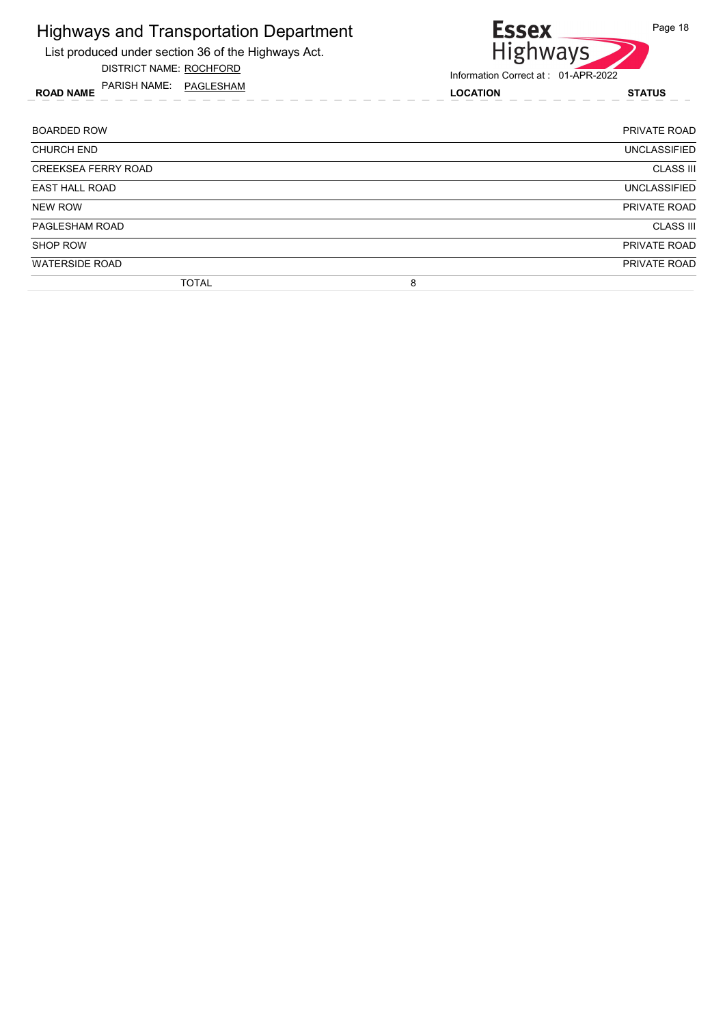List produced under section 36 of the Highways Act.

DISTRICT NAME: ROCHFORD

ROAD NAME LOCATION STATUS PARISH NAME: PAGLESHAM



| <b>BOARDED ROW</b>         | PRIVATE ROAD        |
|----------------------------|---------------------|
| <b>CHURCH END</b>          | <b>UNCLASSIFIED</b> |
| <b>CREEKSEA FERRY ROAD</b> | <b>CLASS III</b>    |
| <b>EAST HALL ROAD</b>      | <b>UNCLASSIFIED</b> |
| NEW ROW                    | PRIVATE ROAD        |
| PAGLESHAM ROAD             | <b>CLASS III</b>    |
| <b>SHOP ROW</b>            | PRIVATE ROAD        |
| <b>WATERSIDE ROAD</b>      | PRIVATE ROAD        |
| <b>TOTAL</b>               | 8                   |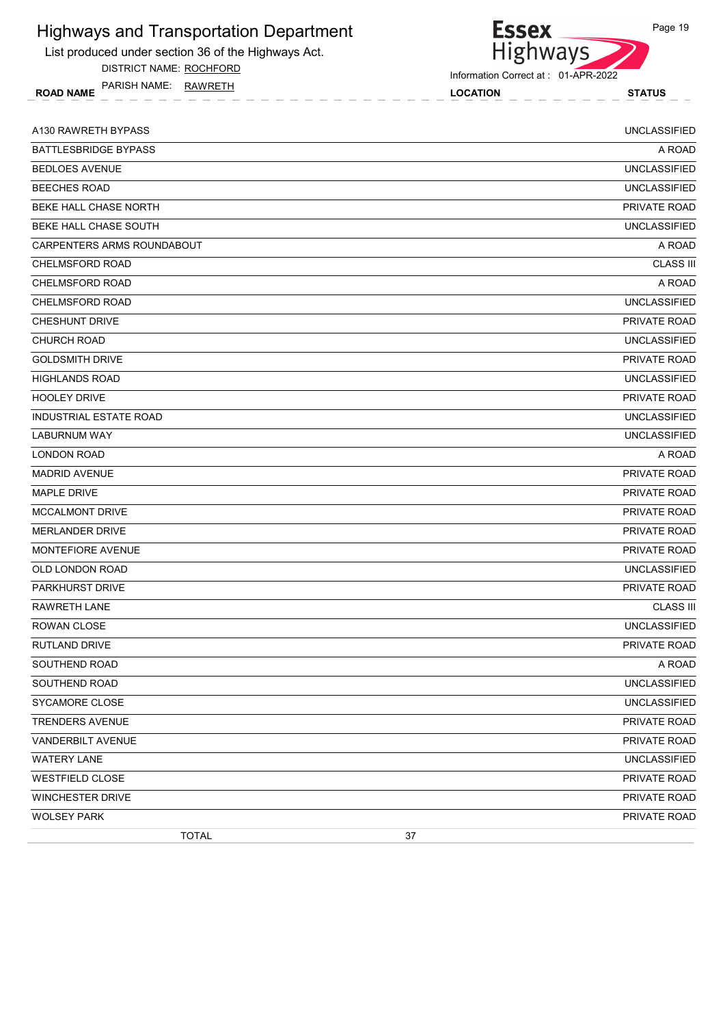List produced under section 36 of the Highways Act.

DISTRICT NAME: ROCHFORD

ROAD NAME LOCATION STATUS PARISH NAME: RAWRETH

Essex<br>Highways

Information Correct at : 01-APR-2022

| A130 RAWRETH BYPASS         | <b>UNCLASSIFIED</b> |
|-----------------------------|---------------------|
| <b>BATTLESBRIDGE BYPASS</b> | A ROAD              |
| <b>BEDLOES AVENUE</b>       | <b>UNCLASSIFIED</b> |
| <b>BEECHES ROAD</b>         | <b>UNCLASSIFIED</b> |
| BEKE HALL CHASE NORTH       | PRIVATE ROAD        |
| BEKE HALL CHASE SOUTH       | <b>UNCLASSIFIED</b> |
| CARPENTERS ARMS ROUNDABOUT  | A ROAD              |
| <b>CHELMSFORD ROAD</b>      | <b>CLASS III</b>    |
| CHELMSFORD ROAD             | A ROAD              |
| CHELMSFORD ROAD             | <b>UNCLASSIFIED</b> |
| <b>CHESHUNT DRIVE</b>       | PRIVATE ROAD        |
| <b>CHURCH ROAD</b>          | <b>UNCLASSIFIED</b> |
| <b>GOLDSMITH DRIVE</b>      | PRIVATE ROAD        |
| <b>HIGHLANDS ROAD</b>       | <b>UNCLASSIFIED</b> |
| <b>HOOLEY DRIVE</b>         | PRIVATE ROAD        |
| INDUSTRIAL ESTATE ROAD      | <b>UNCLASSIFIED</b> |
| LABURNUM WAY                | <b>UNCLASSIFIED</b> |
| <b>LONDON ROAD</b>          | A ROAD              |
| <b>MADRID AVENUE</b>        | <b>PRIVATE ROAD</b> |
| <b>MAPLE DRIVE</b>          | PRIVATE ROAD        |
| <b>MCCALMONT DRIVE</b>      | PRIVATE ROAD        |
| <b>MERLANDER DRIVE</b>      | PRIVATE ROAD        |
| MONTEFIORE AVENUE           | PRIVATE ROAD        |
| OLD LONDON ROAD             | <b>UNCLASSIFIED</b> |
| <b>PARKHURST DRIVE</b>      | PRIVATE ROAD        |
| <b>RAWRETH LANE</b>         | <b>CLASS III</b>    |
| ROWAN CLOSE                 | <b>UNCLASSIFIED</b> |
| <b>RUTLAND DRIVE</b>        | PRIVATE ROAD        |
| SOUTHEND ROAD               | A ROAD              |
| SOUTHEND ROAD               | <b>UNCLASSIFIED</b> |
| SYCAMORE CLOSE              | <b>UNCLASSIFIED</b> |
| <b>TRENDERS AVENUE</b>      | PRIVATE ROAD        |
| VANDERBILT AVENUE           | PRIVATE ROAD        |
| <b>WATERY LANE</b>          | <b>UNCLASSIFIED</b> |
| <b>WESTFIELD CLOSE</b>      | PRIVATE ROAD        |
| <b>WINCHESTER DRIVE</b>     | PRIVATE ROAD        |
| <b>WOLSEY PARK</b>          | PRIVATE ROAD        |
| <b>TOTAL</b><br>37          |                     |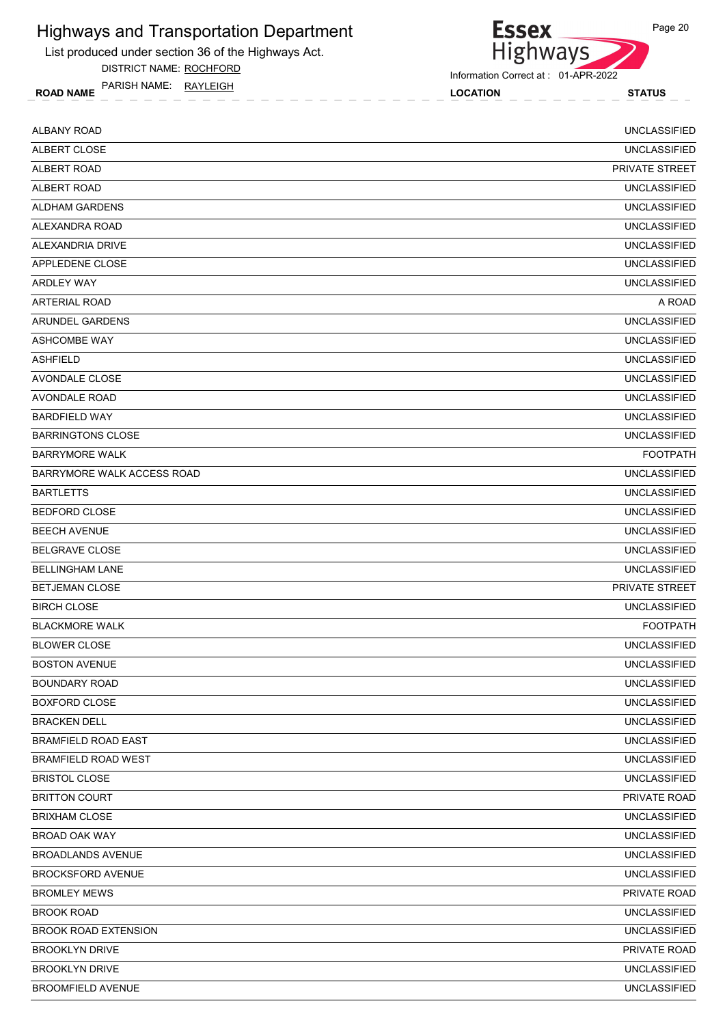List produced under section 36 of the Highways Act.

DISTRICT NAME: ROCHFORD

ROAD NAME LOCATION STATUS PARISH NAME: RAYLEIGH

Highways

Information Correct at : 01-APR-2022

**Essex** 

| ALBANY ROAD                 | <b>UNCLASSIFIED</b> |
|-----------------------------|---------------------|
| ALBERT CLOSE                | <b>UNCLASSIFIED</b> |
| <b>ALBERT ROAD</b>          | PRIVATE STREET      |
| ALBERT ROAD                 | <b>UNCLASSIFIED</b> |
| ALDHAM GARDENS              | <b>UNCLASSIFIED</b> |
| ALEXANDRA ROAD              | <b>UNCLASSIFIED</b> |
| ALEXANDRIA DRIVE            | <b>UNCLASSIFIED</b> |
| APPLEDENE CLOSE             | <b>UNCLASSIFIED</b> |
| <b>ARDLEY WAY</b>           | <b>UNCLASSIFIED</b> |
| <b>ARTERIAL ROAD</b>        | A ROAD              |
| ARUNDEL GARDENS             | <b>UNCLASSIFIED</b> |
| ASHCOMBE WAY                | <b>UNCLASSIFIED</b> |
| <b>ASHFIELD</b>             | <b>UNCLASSIFIED</b> |
| AVONDALE CLOSE              | <b>UNCLASSIFIED</b> |
| <b>AVONDALE ROAD</b>        | <b>UNCLASSIFIED</b> |
| <b>BARDFIELD WAY</b>        | <b>UNCLASSIFIED</b> |
| <b>BARRINGTONS CLOSE</b>    | <b>UNCLASSIFIED</b> |
| <b>BARRYMORE WALK</b>       | <b>FOOTPATH</b>     |
| BARRYMORE WALK ACCESS ROAD  | <b>UNCLASSIFIED</b> |
| <b>BARTLETTS</b>            | <b>UNCLASSIFIED</b> |
| <b>BEDFORD CLOSE</b>        | <b>UNCLASSIFIED</b> |
| <b>BEECH AVENUE</b>         | <b>UNCLASSIFIED</b> |
| <b>BELGRAVE CLOSE</b>       | <b>UNCLASSIFIED</b> |
| <b>BELLINGHAM LANE</b>      | <b>UNCLASSIFIED</b> |
| <b>BETJEMAN CLOSE</b>       | PRIVATE STREET      |
| <b>BIRCH CLOSE</b>          | <b>UNCLASSIFIED</b> |
| <b>BLACKMORE WALK</b>       | <b>FOOTPATH</b>     |
| <b>BLOWER CLOSE</b>         | <b>UNCLASSIFIED</b> |
| <b>BOSTON AVENUE</b>        | UNCLASSIFIED        |
| <b>BOUNDARY ROAD</b>        | <b>UNCLASSIFIED</b> |
| BOXFORD CLOSE               | <b>UNCLASSIFIED</b> |
| <b>BRACKEN DELL</b>         | <b>UNCLASSIFIED</b> |
| <b>BRAMFIELD ROAD EAST</b>  | <b>UNCLASSIFIED</b> |
| BRAMFIELD ROAD WEST         | <b>UNCLASSIFIED</b> |
| <b>BRISTOL CLOSE</b>        | <b>UNCLASSIFIED</b> |
| <b>BRITTON COURT</b>        | PRIVATE ROAD        |
| <b>BRIXHAM CLOSE</b>        | <b>UNCLASSIFIED</b> |
| BROAD OAK WAY               | <b>UNCLASSIFIED</b> |
| <b>BROADLANDS AVENUE</b>    | <b>UNCLASSIFIED</b> |
| <b>BROCKSFORD AVENUE</b>    | <b>UNCLASSIFIED</b> |
| <b>BROMLEY MEWS</b>         | PRIVATE ROAD        |
| <b>BROOK ROAD</b>           | <b>UNCLASSIFIED</b> |
| <b>BROOK ROAD EXTENSION</b> | <b>UNCLASSIFIED</b> |
| <b>BROOKLYN DRIVE</b>       | PRIVATE ROAD        |
| <b>BROOKLYN DRIVE</b>       | <b>UNCLASSIFIED</b> |
| <b>BROOMFIELD AVENUE</b>    | <b>UNCLASSIFIED</b> |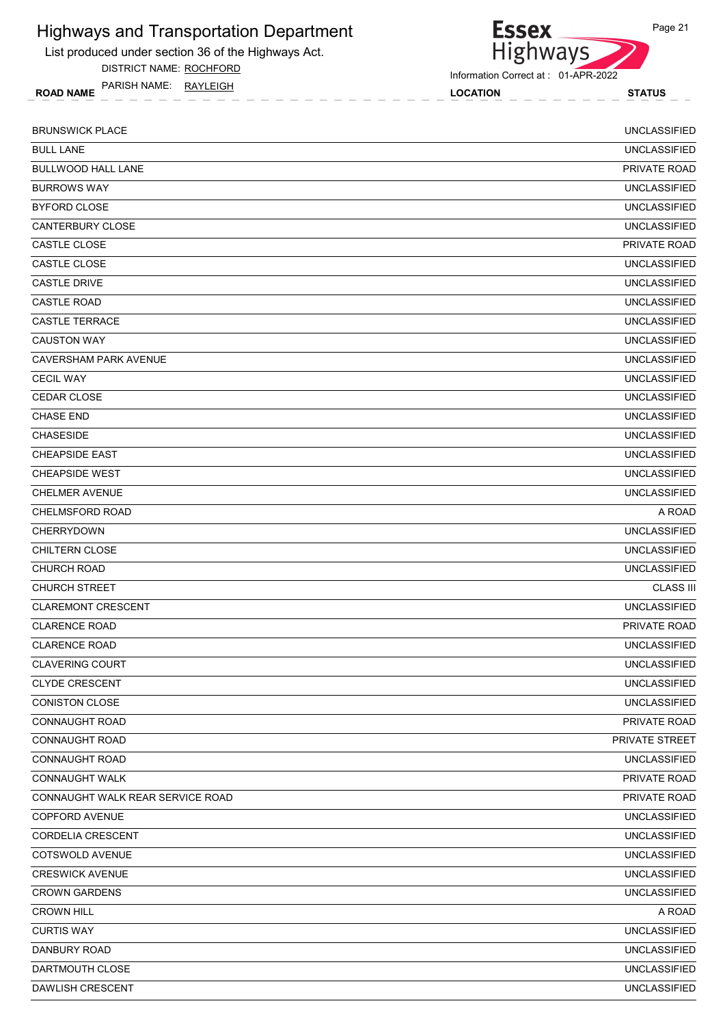List produced under section 36 of the Highways Act.

DISTRICT NAME: ROCHFORD

ROAD NAME LOCATION STATUS PARISH NAME: RAYLEIGH

Information Correct at : 01-APR-2022

Essex<br>Highways

| <b>BRUNSWICK PLACE</b>           | <b>UNCLASSIFIED</b> |
|----------------------------------|---------------------|
| <b>BULL LANE</b>                 | <b>UNCLASSIFIED</b> |
| <b>BULLWOOD HALL LANE</b>        | <b>PRIVATE ROAD</b> |
| <b>BURROWS WAY</b>               | <b>UNCLASSIFIED</b> |
| <b>BYFORD CLOSE</b>              | <b>UNCLASSIFIED</b> |
| <b>CANTERBURY CLOSE</b>          | <b>UNCLASSIFIED</b> |
| <b>CASTLE CLOSE</b>              | <b>PRIVATE ROAD</b> |
| CASTLE CLOSE                     | <b>UNCLASSIFIED</b> |
| <b>CASTLE DRIVE</b>              | <b>UNCLASSIFIED</b> |
| <b>CASTLE ROAD</b>               | <b>UNCLASSIFIED</b> |
| <b>CASTLE TERRACE</b>            | <b>UNCLASSIFIED</b> |
| <b>CAUSTON WAY</b>               | <b>UNCLASSIFIED</b> |
| <b>CAVERSHAM PARK AVENUE</b>     | <b>UNCLASSIFIED</b> |
| <b>CECIL WAY</b>                 | <b>UNCLASSIFIED</b> |
| <b>CEDAR CLOSE</b>               | <b>UNCLASSIFIED</b> |
| <b>CHASE END</b>                 | <b>UNCLASSIFIED</b> |
| <b>CHASESIDE</b>                 | <b>UNCLASSIFIED</b> |
| <b>CHEAPSIDE EAST</b>            | <b>UNCLASSIFIED</b> |
| <b>CHEAPSIDE WEST</b>            | <b>UNCLASSIFIED</b> |
| <b>CHELMER AVENUE</b>            | <b>UNCLASSIFIED</b> |
| <b>CHELMSFORD ROAD</b>           | A ROAD              |
| CHERRYDOWN                       | <b>UNCLASSIFIED</b> |
| <b>CHILTERN CLOSE</b>            | <b>UNCLASSIFIED</b> |
| <b>CHURCH ROAD</b>               | <b>UNCLASSIFIED</b> |
| <b>CHURCH STREET</b>             | <b>CLASS III</b>    |
| <b>CLAREMONT CRESCENT</b>        | <b>UNCLASSIFIED</b> |
| <b>CLARENCE ROAD</b>             | PRIVATE ROAD        |
| <b>CLARENCE ROAD</b>             | <b>UNCLASSIFIED</b> |
| <b>CLAVERING COURT</b>           | <b>UNCLASSIFIED</b> |
| <b>CLYDE CRESCENT</b>            | <b>UNCLASSIFIED</b> |
| <b>CONISTON CLOSE</b>            | <b>UNCLASSIFIED</b> |
| <b>CONNAUGHT ROAD</b>            | PRIVATE ROAD        |
| <b>CONNAUGHT ROAD</b>            | PRIVATE STREET      |
| <b>CONNAUGHT ROAD</b>            | <b>UNCLASSIFIED</b> |
| <b>CONNAUGHT WALK</b>            | PRIVATE ROAD        |
| CONNAUGHT WALK REAR SERVICE ROAD | PRIVATE ROAD        |
| <b>COPFORD AVENUE</b>            | <b>UNCLASSIFIED</b> |
| <b>CORDELIA CRESCENT</b>         | <b>UNCLASSIFIED</b> |
| COTSWOLD AVENUE                  | <b>UNCLASSIFIED</b> |
| <b>CRESWICK AVENUE</b>           | <b>UNCLASSIFIED</b> |
| <b>CROWN GARDENS</b>             | <b>UNCLASSIFIED</b> |
| <b>CROWN HILL</b>                | A ROAD              |
| <b>CURTIS WAY</b>                | <b>UNCLASSIFIED</b> |
| DANBURY ROAD                     | <b>UNCLASSIFIED</b> |
| DARTMOUTH CLOSE                  | <b>UNCLASSIFIED</b> |
| DAWLISH CRESCENT                 | <b>UNCLASSIFIED</b> |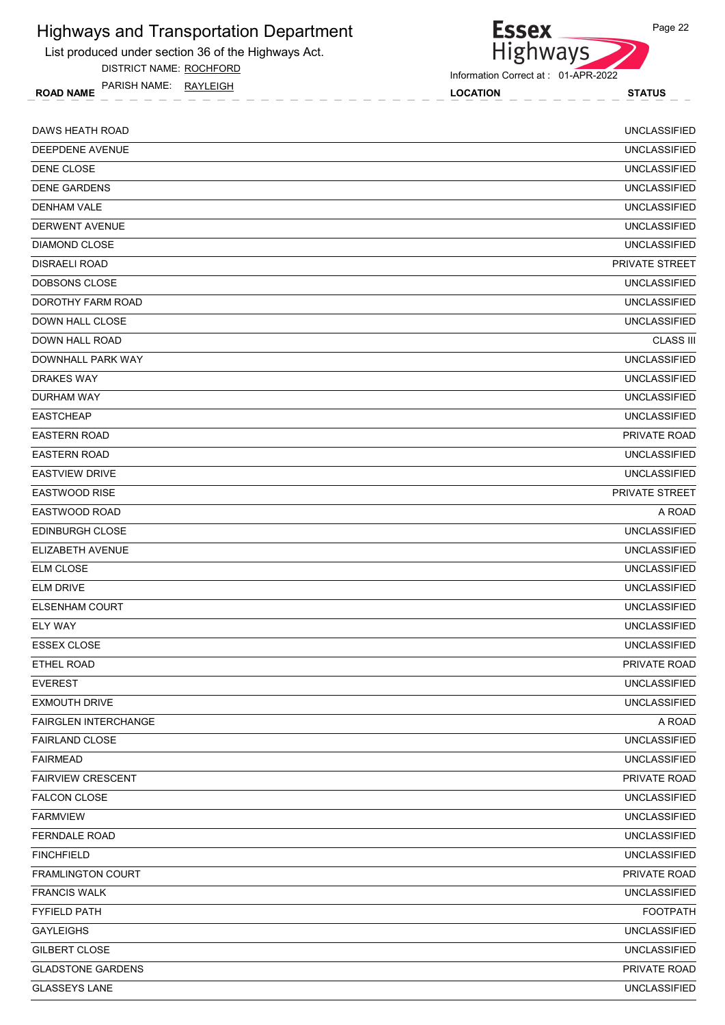List produced under section 36 of the Highways Act.

DISTRICT NAME: ROCHFORD

ROAD NAME LOCATION STATUS PARISH NAME: RAYLEIGH



Information Correct at : 01-APR-2022

| DAWS HEATH ROAD             | <b>UNCLASSIFIED</b>   |
|-----------------------------|-----------------------|
| DEEPDENE AVENUE             | <b>UNCLASSIFIED</b>   |
| DENE CLOSE                  | <b>UNCLASSIFIED</b>   |
| <b>DENE GARDENS</b>         | <b>UNCLASSIFIED</b>   |
| <b>DENHAM VALE</b>          | <b>UNCLASSIFIED</b>   |
| DERWENT AVENUE              | <b>UNCLASSIFIED</b>   |
| <b>DIAMOND CLOSE</b>        | <b>UNCLASSIFIED</b>   |
| <b>DISRAELI ROAD</b>        | <b>PRIVATE STREET</b> |
| DOBSONS CLOSE               | <b>UNCLASSIFIED</b>   |
| DOROTHY FARM ROAD           | <b>UNCLASSIFIED</b>   |
| DOWN HALL CLOSE             | <b>UNCLASSIFIED</b>   |
| DOWN HALL ROAD              | <b>CLASS III</b>      |
| DOWNHALL PARK WAY           | <b>UNCLASSIFIED</b>   |
| <b>DRAKES WAY</b>           | <b>UNCLASSIFIED</b>   |
| DURHAM WAY                  | <b>UNCLASSIFIED</b>   |
| <b>EASTCHEAP</b>            | <b>UNCLASSIFIED</b>   |
| <b>EASTERN ROAD</b>         | PRIVATE ROAD          |
| <b>EASTERN ROAD</b>         | <b>UNCLASSIFIED</b>   |
| <b>EASTVIEW DRIVE</b>       | <b>UNCLASSIFIED</b>   |
| <b>EASTWOOD RISE</b>        | PRIVATE STREET        |
| EASTWOOD ROAD               | A ROAD                |
| <b>EDINBURGH CLOSE</b>      | <b>UNCLASSIFIED</b>   |
| ELIZABETH AVENUE            | <b>UNCLASSIFIED</b>   |
| <b>ELM CLOSE</b>            | <b>UNCLASSIFIED</b>   |
| <b>ELM DRIVE</b>            | <b>UNCLASSIFIED</b>   |
| <b>ELSENHAM COURT</b>       | <b>UNCLASSIFIED</b>   |
| <b>ELY WAY</b>              | <b>UNCLASSIFIED</b>   |
| <b>ESSEX CLOSE</b>          | <b>UNCLASSIFIED</b>   |
| ETHEL ROAD                  | PRIVATE ROAD          |
| <b>EVEREST</b>              | <b>UNCLASSIFIED</b>   |
| <b>EXMOUTH DRIVE</b>        | <b>UNCLASSIFIED</b>   |
| <b>FAIRGLEN INTERCHANGE</b> | A ROAD                |
| <b>FAIRLAND CLOSE</b>       | <b>UNCLASSIFIED</b>   |
| <b>FAIRMEAD</b>             | <b>UNCLASSIFIED</b>   |
| <b>FAIRVIEW CRESCENT</b>    | PRIVATE ROAD          |
| <b>FALCON CLOSE</b>         | <b>UNCLASSIFIED</b>   |
| <b>FARMVIEW</b>             | <b>UNCLASSIFIED</b>   |
| <b>FERNDALE ROAD</b>        | <b>UNCLASSIFIED</b>   |
| <b>FINCHFIELD</b>           | <b>UNCLASSIFIED</b>   |
| <b>FRAMLINGTON COURT</b>    | PRIVATE ROAD          |
| <b>FRANCIS WALK</b>         | <b>UNCLASSIFIED</b>   |
| <b>FYFIELD PATH</b>         | <b>FOOTPATH</b>       |
| <b>GAYLEIGHS</b>            | <b>UNCLASSIFIED</b>   |
| GILBERT CLOSE               | <b>UNCLASSIFIED</b>   |
| <b>GLADSTONE GARDENS</b>    | PRIVATE ROAD          |
| <b>GLASSEYS LANE</b>        | <b>UNCLASSIFIED</b>   |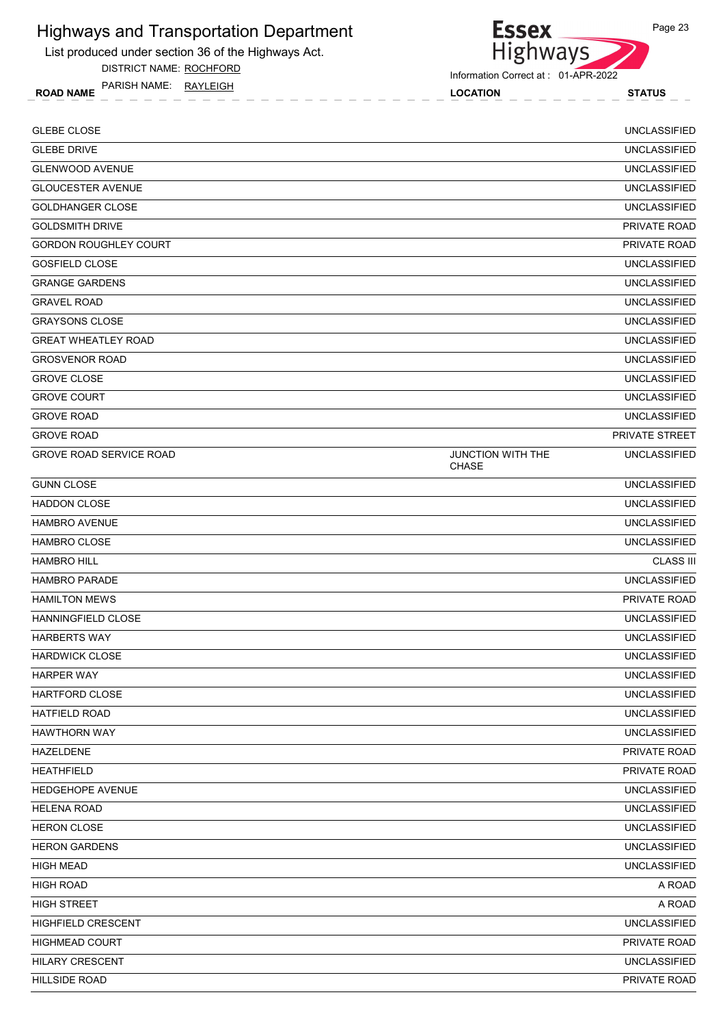List produced under section 36 of the Highways Act.

DISTRICT NAME: ROCHFORD

ROAD NAME LOCATION STATUS PARISH NAME: RAYLEIGH



| <b>GLEBE CLOSE</b>             |                                          | <b>UNCLASSIFIED</b> |
|--------------------------------|------------------------------------------|---------------------|
| <b>GLEBE DRIVE</b>             |                                          | <b>UNCLASSIFIED</b> |
| <b>GLENWOOD AVENUE</b>         |                                          | <b>UNCLASSIFIED</b> |
| <b>GLOUCESTER AVENUE</b>       |                                          | <b>UNCLASSIFIED</b> |
| <b>GOLDHANGER CLOSE</b>        |                                          | <b>UNCLASSIFIED</b> |
| <b>GOLDSMITH DRIVE</b>         |                                          | <b>PRIVATE ROAD</b> |
| <b>GORDON ROUGHLEY COURT</b>   |                                          | <b>PRIVATE ROAD</b> |
| <b>GOSFIELD CLOSE</b>          |                                          | <b>UNCLASSIFIED</b> |
| <b>GRANGE GARDENS</b>          |                                          | <b>UNCLASSIFIED</b> |
| <b>GRAVEL ROAD</b>             |                                          | <b>UNCLASSIFIED</b> |
| <b>GRAYSONS CLOSE</b>          |                                          | <b>UNCLASSIFIED</b> |
| <b>GREAT WHEATLEY ROAD</b>     |                                          | <b>UNCLASSIFIED</b> |
| <b>GROSVENOR ROAD</b>          |                                          | <b>UNCLASSIFIED</b> |
| <b>GROVE CLOSE</b>             |                                          | <b>UNCLASSIFIED</b> |
| <b>GROVE COURT</b>             |                                          | <b>UNCLASSIFIED</b> |
| <b>GROVE ROAD</b>              |                                          | <b>UNCLASSIFIED</b> |
| <b>GROVE ROAD</b>              |                                          | PRIVATE STREET      |
| <b>GROVE ROAD SERVICE ROAD</b> | <b>JUNCTION WITH THE</b><br><b>CHASE</b> | <b>UNCLASSIFIED</b> |
| <b>GUNN CLOSE</b>              |                                          | <b>UNCLASSIFIED</b> |
| <b>HADDON CLOSE</b>            |                                          | <b>UNCLASSIFIED</b> |
| <b>HAMBRO AVENUE</b>           |                                          | <b>UNCLASSIFIED</b> |
| <b>HAMBRO CLOSE</b>            |                                          | <b>UNCLASSIFIED</b> |
| <b>HAMBRO HILL</b>             |                                          | <b>CLASS III</b>    |
| <b>HAMBRO PARADE</b>           |                                          | <b>UNCLASSIFIED</b> |
| <b>HAMILTON MEWS</b>           |                                          | PRIVATE ROAD        |
| HANNINGFIELD CLOSE             |                                          | <b>UNCLASSIFIED</b> |
| <b>HARBERTS WAY</b>            |                                          | <b>UNCLASSIFIED</b> |
| <b>HARDWICK CLOSE</b>          |                                          | <b>UNCLASSIFIED</b> |
| <b>HARPER WAY</b>              |                                          | <b>UNCLASSIFIED</b> |
| <b>HARTFORD CLOSE</b>          |                                          | <b>UNCLASSIFIED</b> |
| HATFIELD ROAD                  |                                          | <b>UNCLASSIFIED</b> |
| <b>HAWTHORN WAY</b>            |                                          | <b>UNCLASSIFIED</b> |
| HAZELDENE                      |                                          | PRIVATE ROAD        |
| <b>HEATHFIELD</b>              |                                          | PRIVATE ROAD        |
| HEDGEHOPE AVENUE               |                                          | <b>UNCLASSIFIED</b> |
| <b>HELENA ROAD</b>             |                                          | <b>UNCLASSIFIED</b> |
| <b>HERON CLOSE</b>             |                                          | <b>UNCLASSIFIED</b> |
| <b>HERON GARDENS</b>           |                                          | <b>UNCLASSIFIED</b> |
| <b>HIGH MEAD</b>               |                                          | <b>UNCLASSIFIED</b> |
| <b>HIGH ROAD</b>               |                                          | A ROAD              |
| <b>HIGH STREET</b>             |                                          | A ROAD              |
| HIGHFIELD CRESCENT             |                                          | <b>UNCLASSIFIED</b> |
| <b>HIGHMEAD COURT</b>          |                                          | PRIVATE ROAD        |
| <b>HILARY CRESCENT</b>         |                                          | <b>UNCLASSIFIED</b> |
| <b>HILLSIDE ROAD</b>           |                                          | PRIVATE ROAD        |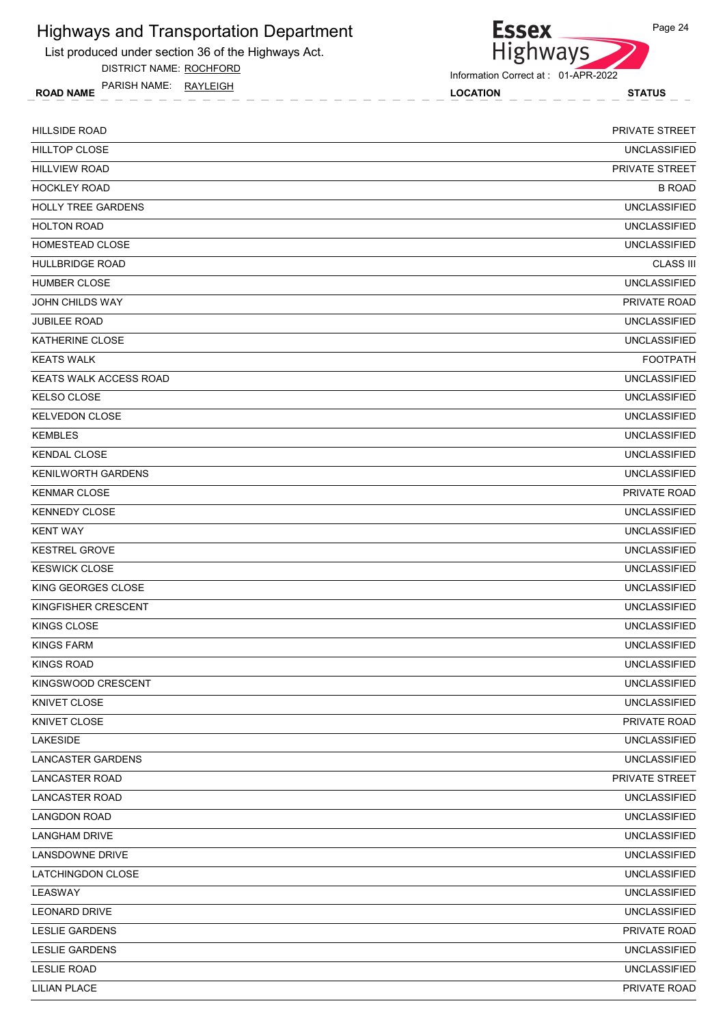List produced under section 36 of the Highways Act.

DISTRICT NAME: ROCHFORD

ROAD NAME LOCATION STATUS PARISH NAME: RAYLEIGH



| <b>HILLSIDE ROAD</b>          | PRIVATE STREET        |
|-------------------------------|-----------------------|
| <b>HILLTOP CLOSE</b>          | <b>UNCLASSIFIED</b>   |
| <b>HILLVIEW ROAD</b>          | <b>PRIVATE STREET</b> |
| <b>HOCKLEY ROAD</b>           | <b>B ROAD</b>         |
| <b>HOLLY TREE GARDENS</b>     | <b>UNCLASSIFIED</b>   |
| <b>HOLTON ROAD</b>            | <b>UNCLASSIFIED</b>   |
| HOMESTEAD CLOSE               | <b>UNCLASSIFIED</b>   |
| <b>HULLBRIDGE ROAD</b>        | <b>CLASS III</b>      |
| <b>HUMBER CLOSE</b>           | <b>UNCLASSIFIED</b>   |
| JOHN CHILDS WAY               | <b>PRIVATE ROAD</b>   |
| <b>JUBILEE ROAD</b>           | <b>UNCLASSIFIED</b>   |
| <b>KATHERINE CLOSE</b>        | <b>UNCLASSIFIED</b>   |
| <b>KEATS WALK</b>             | <b>FOOTPATH</b>       |
| <b>KEATS WALK ACCESS ROAD</b> | <b>UNCLASSIFIED</b>   |
| <b>KELSO CLOSE</b>            | <b>UNCLASSIFIED</b>   |
| <b>KELVEDON CLOSE</b>         | <b>UNCLASSIFIED</b>   |
| <b>KEMBLES</b>                | <b>UNCLASSIFIED</b>   |
| <b>KENDAL CLOSE</b>           | <b>UNCLASSIFIED</b>   |
| <b>KENILWORTH GARDENS</b>     | <b>UNCLASSIFIED</b>   |
| <b>KENMAR CLOSE</b>           | PRIVATE ROAD          |
| <b>KENNEDY CLOSE</b>          | <b>UNCLASSIFIED</b>   |
| <b>KENT WAY</b>               | <b>UNCLASSIFIED</b>   |
| <b>KESTREL GROVE</b>          | <b>UNCLASSIFIED</b>   |
| <b>KESWICK CLOSE</b>          | <b>UNCLASSIFIED</b>   |
| KING GEORGES CLOSE            | <b>UNCLASSIFIED</b>   |
| KINGFISHER CRESCENT           | <b>UNCLASSIFIED</b>   |
| KINGS CLOSE                   | <b>UNCLASSIFIED</b>   |
| <b>KINGS FARM</b>             | <b>UNCLASSIFIED</b>   |
| KINGS ROAD                    | <b>UNCLASSIFIED</b>   |
| KINGSWOOD CRESCENT            | <b>UNCLASSIFIED</b>   |
| KNIVET CLOSE                  | <b>UNCLASSIFIED</b>   |
| KNIVET CLOSE                  | PRIVATE ROAD          |
| LAKESIDE                      | <b>UNCLASSIFIED</b>   |
| LANCASTER GARDENS             | <b>UNCLASSIFIED</b>   |
| <b>LANCASTER ROAD</b>         | PRIVATE STREET        |
| <b>LANCASTER ROAD</b>         | UNCLASSIFIED          |
| <b>LANGDON ROAD</b>           | <b>UNCLASSIFIED</b>   |
| <b>LANGHAM DRIVE</b>          | <b>UNCLASSIFIED</b>   |
| LANSDOWNE DRIVE               | <b>UNCLASSIFIED</b>   |
| LATCHINGDON CLOSE             | <b>UNCLASSIFIED</b>   |
| LEASWAY                       | <b>UNCLASSIFIED</b>   |
| LEONARD DRIVE                 | <b>UNCLASSIFIED</b>   |
| <b>LESLIE GARDENS</b>         | PRIVATE ROAD          |
| <b>LESLIE GARDENS</b>         | <b>UNCLASSIFIED</b>   |
| <b>LESLIE ROAD</b>            | <b>UNCLASSIFIED</b>   |
| <b>LILIAN PLACE</b>           | PRIVATE ROAD          |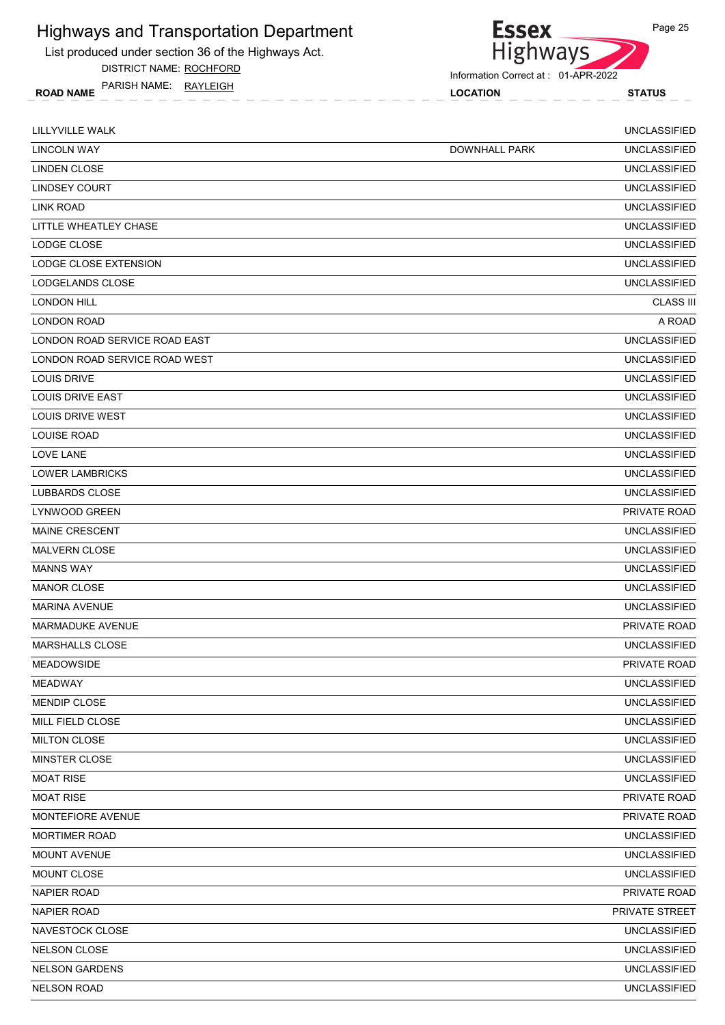List produced under section 36 of the Highways Act.

DISTRICT NAME: ROCHFORD

ROAD NAME LOCATION STATUS PARISH NAME: RAYLEIGH



**Essex** 

| LILLYVILLE WALK               |                      | <b>UNCLASSIFIED</b> |
|-------------------------------|----------------------|---------------------|
| <b>LINCOLN WAY</b>            | <b>DOWNHALL PARK</b> | <b>UNCLASSIFIED</b> |
| LINDEN CLOSE                  |                      | <b>UNCLASSIFIED</b> |
| <b>LINDSEY COURT</b>          |                      | <b>UNCLASSIFIED</b> |
| LINK ROAD                     |                      | <b>UNCLASSIFIED</b> |
| LITTLE WHEATLEY CHASE         |                      | <b>UNCLASSIFIED</b> |
| LODGE CLOSE                   |                      | <b>UNCLASSIFIED</b> |
| LODGE CLOSE EXTENSION         |                      | <b>UNCLASSIFIED</b> |
| LODGELANDS CLOSE              |                      | <b>UNCLASSIFIED</b> |
| <b>LONDON HILL</b>            |                      | <b>CLASS III</b>    |
| <b>LONDON ROAD</b>            |                      | A ROAD              |
| LONDON ROAD SERVICE ROAD EAST |                      | <b>UNCLASSIFIED</b> |
| LONDON ROAD SERVICE ROAD WEST |                      | <b>UNCLASSIFIED</b> |
| LOUIS DRIVE                   |                      | <b>UNCLASSIFIED</b> |
| LOUIS DRIVE EAST              |                      | <b>UNCLASSIFIED</b> |
| <b>LOUIS DRIVE WEST</b>       |                      | UNCLASSIFIED        |
| <b>LOUISE ROAD</b>            |                      | <b>UNCLASSIFIED</b> |
| LOVE LANE                     |                      | <b>UNCLASSIFIED</b> |
| <b>LOWER LAMBRICKS</b>        |                      | <b>UNCLASSIFIED</b> |
| <b>LUBBARDS CLOSE</b>         |                      | <b>UNCLASSIFIED</b> |
| <b>LYNWOOD GREEN</b>          |                      | PRIVATE ROAD        |
| <b>MAINE CRESCENT</b>         |                      | <b>UNCLASSIFIED</b> |
| <b>MALVERN CLOSE</b>          |                      | <b>UNCLASSIFIED</b> |
| <b>MANNS WAY</b>              |                      | <b>UNCLASSIFIED</b> |
| <b>MANOR CLOSE</b>            |                      | <b>UNCLASSIFIED</b> |
| <b>MARINA AVENUE</b>          |                      | <b>UNCLASSIFIED</b> |
| <b>MARMADUKE AVENUE</b>       |                      | PRIVATE ROAD        |
| <b>MARSHALLS CLOSE</b>        |                      | <b>UNCLASSIFIED</b> |
| <b>MEADOWSIDE</b>             |                      | PRIVATE ROAD        |
| <b>MEADWAY</b>                |                      | <b>UNCLASSIFIED</b> |
| MENDIP CLOSE                  |                      | <b>UNCLASSIFIED</b> |
| MILL FIELD CLOSE              |                      | <b>UNCLASSIFIED</b> |
| <b>MILTON CLOSE</b>           |                      | <b>UNCLASSIFIED</b> |
| MINSTER CLOSE                 |                      | <b>UNCLASSIFIED</b> |
| <b>MOAT RISE</b>              |                      | <b>UNCLASSIFIED</b> |
| <b>MOAT RISE</b>              |                      | PRIVATE ROAD        |
| MONTEFIORE AVENUE             |                      | PRIVATE ROAD        |
| MORTIMER ROAD                 |                      | <b>UNCLASSIFIED</b> |
| <b>MOUNT AVENUE</b>           |                      | <b>UNCLASSIFIED</b> |
| MOUNT CLOSE                   |                      | <b>UNCLASSIFIED</b> |
| <b>NAPIER ROAD</b>            |                      | PRIVATE ROAD        |
| <b>NAPIER ROAD</b>            |                      | PRIVATE STREET      |
| NAVESTOCK CLOSE               |                      | <b>UNCLASSIFIED</b> |
| NELSON CLOSE                  |                      | <b>UNCLASSIFIED</b> |
| <b>NELSON GARDENS</b>         |                      | <b>UNCLASSIFIED</b> |
| <b>NELSON ROAD</b>            |                      | UNCLASSIFIED        |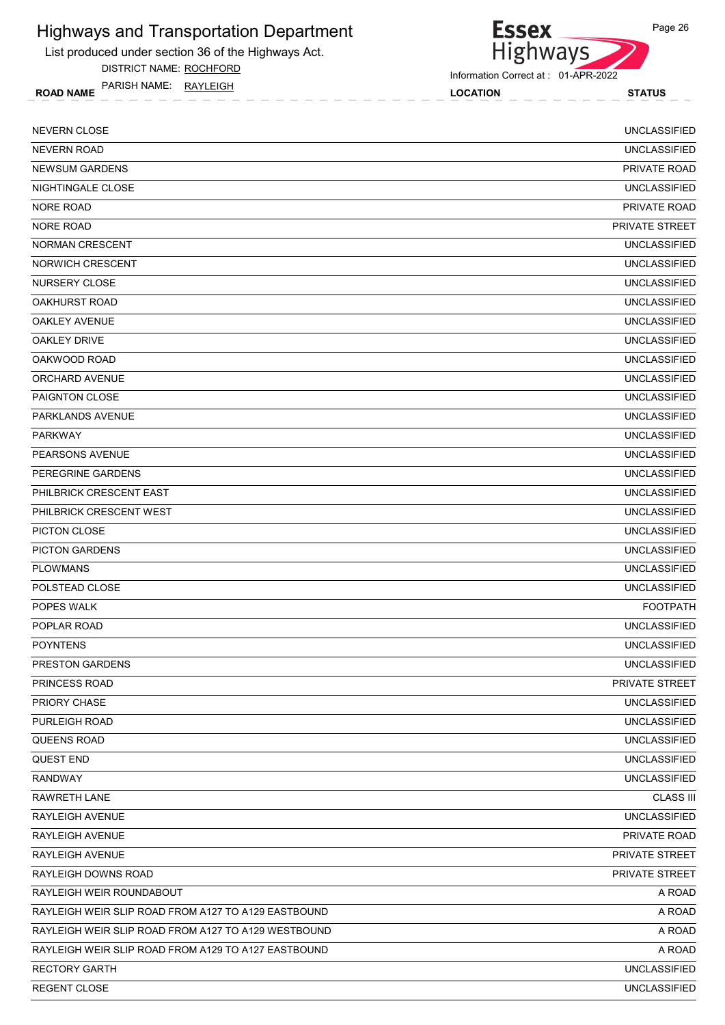List produced under section 36 of the Highways Act.

DISTRICT NAME: ROCHFORD

ROAD NAME LOCATION STATUS PARISH NAME: RAYLEIGH



Information Correct at : 01-APR-2022

| <b>NEVERN CLOSE</b>                                 | <b>UNCLASSIFIED</b> |
|-----------------------------------------------------|---------------------|
| <b>NEVERN ROAD</b>                                  | <b>UNCLASSIFIED</b> |
| <b>NEWSUM GARDENS</b>                               | PRIVATE ROAD        |
| NIGHTINGALE CLOSE                                   | <b>UNCLASSIFIED</b> |
| <b>NORE ROAD</b>                                    | PRIVATE ROAD        |
| <b>NORE ROAD</b>                                    | PRIVATE STREET      |
| <b>NORMAN CRESCENT</b>                              | <b>UNCLASSIFIED</b> |
| <b>NORWICH CRESCENT</b>                             | <b>UNCLASSIFIED</b> |
| NURSERY CLOSE                                       | <b>UNCLASSIFIED</b> |
| <b>OAKHURST ROAD</b>                                | <b>UNCLASSIFIED</b> |
| <b>OAKLEY AVENUE</b>                                | <b>UNCLASSIFIED</b> |
| <b>OAKLEY DRIVE</b>                                 | <b>UNCLASSIFIED</b> |
| OAKWOOD ROAD                                        | <b>UNCLASSIFIED</b> |
| ORCHARD AVENUE                                      | <b>UNCLASSIFIED</b> |
| PAIGNTON CLOSE                                      | <b>UNCLASSIFIED</b> |
| PARKLANDS AVENUE                                    | <b>UNCLASSIFIED</b> |
| <b>PARKWAY</b>                                      | <b>UNCLASSIFIED</b> |
| PEARSONS AVENUE                                     | <b>UNCLASSIFIED</b> |
| PEREGRINE GARDENS                                   | <b>UNCLASSIFIED</b> |
| PHILBRICK CRESCENT EAST                             | <b>UNCLASSIFIED</b> |
| PHILBRICK CRESCENT WEST                             | <b>UNCLASSIFIED</b> |
| PICTON CLOSE                                        | <b>UNCLASSIFIED</b> |
| <b>PICTON GARDENS</b>                               | <b>UNCLASSIFIED</b> |
| <b>PLOWMANS</b>                                     | <b>UNCLASSIFIED</b> |
| POLSTEAD CLOSE                                      | <b>UNCLASSIFIED</b> |
| POPES WALK                                          | <b>FOOTPATH</b>     |
| POPLAR ROAD                                         | <b>UNCLASSIFIED</b> |
| <b>POYNTENS</b>                                     | <b>UNCLASSIFIED</b> |
| PRESTON GARDENS                                     | <b>UNCLASSIFIED</b> |
| PRINCESS ROAD                                       | PRIVATE STREET      |
| PRIORY CHASE                                        | <b>UNCLASSIFIED</b> |
| PURLEIGH ROAD                                       | <b>UNCLASSIFIED</b> |
| QUEENS ROAD                                         | <b>UNCLASSIFIED</b> |
| QUEST END                                           | <b>UNCLASSIFIED</b> |
| <b>RANDWAY</b>                                      | <b>UNCLASSIFIED</b> |
| RAWRETH LANE                                        | <b>CLASS III</b>    |
| RAYLEIGH AVENUE                                     | <b>UNCLASSIFIED</b> |
| RAYLEIGH AVENUE                                     | PRIVATE ROAD        |
| RAYLEIGH AVENUE                                     | PRIVATE STREET      |
| RAYLEIGH DOWNS ROAD                                 | PRIVATE STREET      |
| RAYLEIGH WEIR ROUNDABOUT                            | A ROAD              |
| RAYLEIGH WEIR SLIP ROAD FROM A127 TO A129 EASTBOUND | A ROAD              |
| RAYLEIGH WEIR SLIP ROAD FROM A127 TO A129 WESTBOUND | A ROAD              |
| RAYLEIGH WEIR SLIP ROAD FROM A129 TO A127 EASTBOUND | A ROAD              |
| <b>RECTORY GARTH</b>                                | <b>UNCLASSIFIED</b> |
| REGENT CLOSE                                        | <b>UNCLASSIFIED</b> |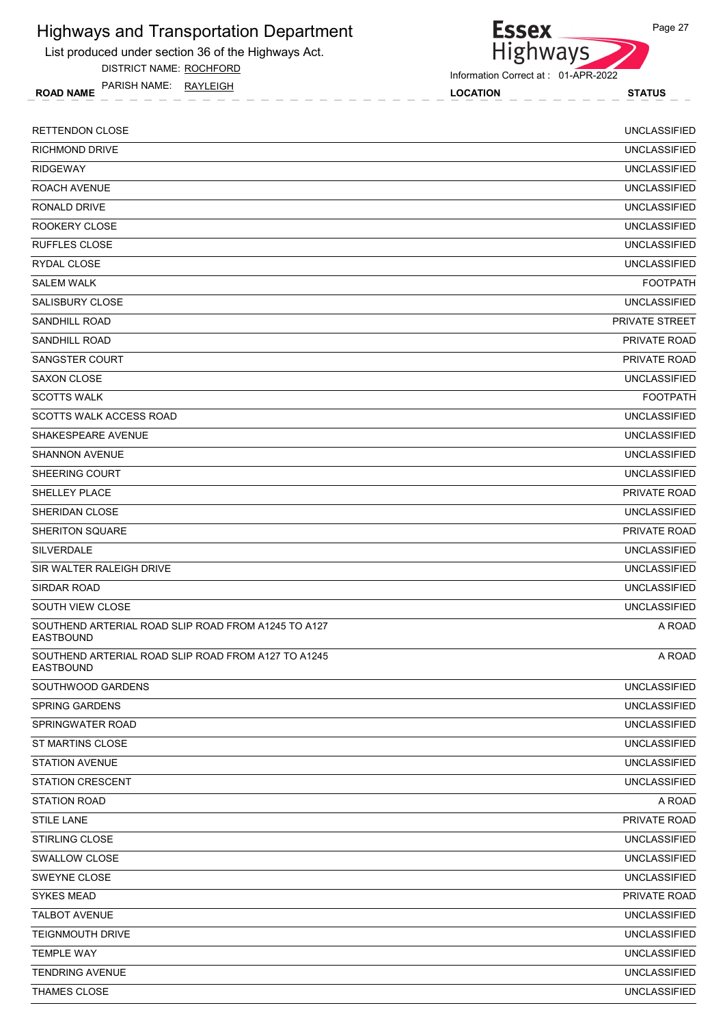List produced under section 36 of the Highways Act.

DISTRICT NAME: ROCHFORD

ROAD NAME LOCATION STATUS PARISH NAME: RAYLEIGH



Information Correct at : 01-APR-2022

| <b>RETTENDON CLOSE</b>                                                  | <b>UNCLASSIFIED</b>   |
|-------------------------------------------------------------------------|-----------------------|
| <b>RICHMOND DRIVE</b>                                                   | <b>UNCLASSIFIED</b>   |
| <b>RIDGEWAY</b>                                                         | <b>UNCLASSIFIED</b>   |
| ROACH AVENUE                                                            | <b>UNCLASSIFIED</b>   |
| RONALD DRIVE                                                            | <b>UNCLASSIFIED</b>   |
| ROOKERY CLOSE                                                           | <b>UNCLASSIFIED</b>   |
| <b>RUFFLES CLOSE</b>                                                    | <b>UNCLASSIFIED</b>   |
| RYDAL CLOSE                                                             | <b>UNCLASSIFIED</b>   |
| <b>SALEM WALK</b>                                                       | <b>FOOTPATH</b>       |
| SALISBURY CLOSE                                                         | <b>UNCLASSIFIED</b>   |
| SANDHILL ROAD                                                           | <b>PRIVATE STREET</b> |
| <b>SANDHILL ROAD</b>                                                    | <b>PRIVATE ROAD</b>   |
| SANGSTER COURT                                                          | PRIVATE ROAD          |
| <b>SAXON CLOSE</b>                                                      | <b>UNCLASSIFIED</b>   |
| <b>SCOTTS WALK</b>                                                      | <b>FOOTPATH</b>       |
| <b>SCOTTS WALK ACCESS ROAD</b>                                          | <b>UNCLASSIFIED</b>   |
| SHAKESPEARE AVENUE                                                      | <b>UNCLASSIFIED</b>   |
| <b>SHANNON AVENUE</b>                                                   | <b>UNCLASSIFIED</b>   |
| SHEERING COURT                                                          | <b>UNCLASSIFIED</b>   |
| SHELLEY PLACE                                                           | PRIVATE ROAD          |
| SHERIDAN CLOSE                                                          | <b>UNCLASSIFIED</b>   |
| SHERITON SQUARE                                                         | PRIVATE ROAD          |
| <b>SILVERDALE</b>                                                       | <b>UNCLASSIFIED</b>   |
| SIR WALTER RALEIGH DRIVE                                                | <b>UNCLASSIFIED</b>   |
| SIRDAR ROAD                                                             | <b>UNCLASSIFIED</b>   |
| <b>SOUTH VIEW CLOSE</b>                                                 | <b>UNCLASSIFIED</b>   |
| SOUTHEND ARTERIAL ROAD SLIP ROAD FROM A1245 TO A127<br><b>EASTBOUND</b> | A ROAD                |
| SOUTHEND ARTERIAL ROAD SLIP ROAD FROM A127 TO A1245<br><b>EASTBOUND</b> | A ROAD                |
| SOUTHWOOD GARDENS                                                       | UNCLASSIFIED          |
| <b>SPRING GARDENS</b>                                                   | <b>UNCLASSIFIED</b>   |
| SPRINGWATER ROAD                                                        | UNCLASSIFIED          |
| ST MARTINS CLOSE                                                        | <b>UNCLASSIFIED</b>   |
| <b>STATION AVENUE</b>                                                   | <b>UNCLASSIFIED</b>   |
| <b>STATION CRESCENT</b>                                                 | <b>UNCLASSIFIED</b>   |
| <b>STATION ROAD</b>                                                     | A ROAD                |
| <b>STILE LANE</b>                                                       | PRIVATE ROAD          |
| <b>STIRLING CLOSE</b>                                                   | <b>UNCLASSIFIED</b>   |
| SWALLOW CLOSE                                                           | <b>UNCLASSIFIED</b>   |
| SWEYNE CLOSE                                                            | <b>UNCLASSIFIED</b>   |
| <b>SYKES MEAD</b>                                                       | PRIVATE ROAD          |
| <b>TALBOT AVENUE</b>                                                    | <b>UNCLASSIFIED</b>   |
| TEIGNMOUTH DRIVE                                                        | <b>UNCLASSIFIED</b>   |
| <b>TEMPLE WAY</b>                                                       | UNCLASSIFIED          |
| <b>TENDRING AVENUE</b>                                                  | UNCLASSIFIED          |
| THAMES CLOSE                                                            | <b>UNCLASSIFIED</b>   |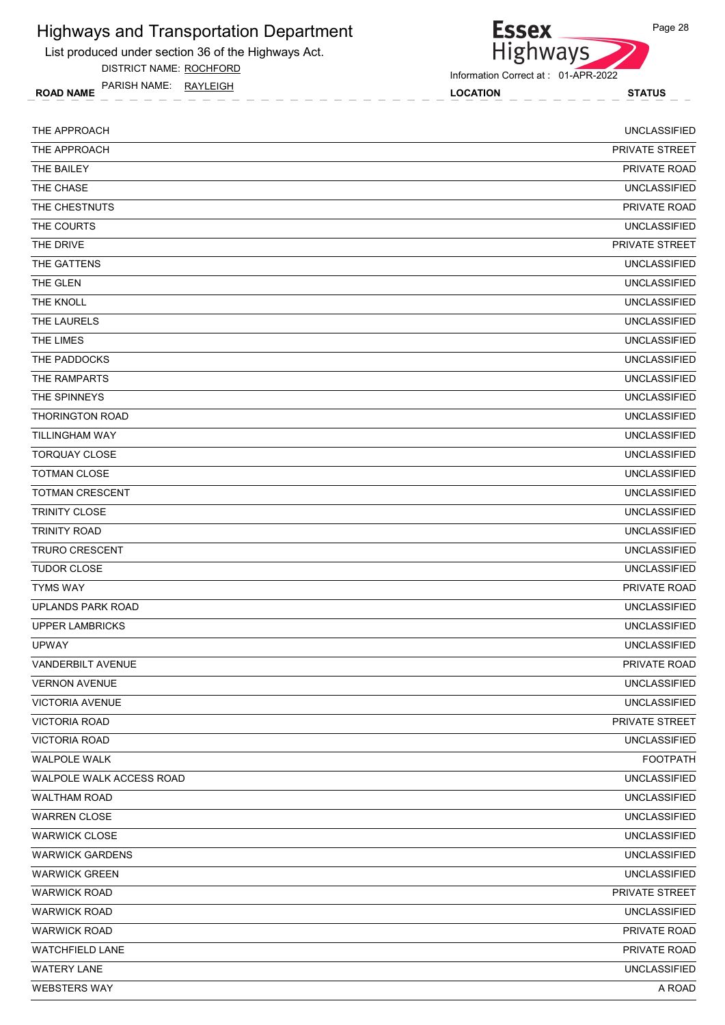List produced under section 36 of the Highways Act.

DISTRICT NAME: ROCHFORD

ROAD NAME LOCATION STATUS PARISH NAME: RAYLEIGH



Information Correct at : 01-APR-2022

| THE APPROACH             | <b>UNCLASSIFIED</b>   |
|--------------------------|-----------------------|
| THE APPROACH             | <b>PRIVATE STREET</b> |
| THE BAILEY               | PRIVATE ROAD          |
| THE CHASE                | <b>UNCLASSIFIED</b>   |
| THE CHESTNUTS            | PRIVATE ROAD          |
| THE COURTS               | <b>UNCLASSIFIED</b>   |
| THE DRIVE                | PRIVATE STREET        |
| THE GATTENS              | <b>UNCLASSIFIED</b>   |
| THE GLEN                 | <b>UNCLASSIFIED</b>   |
| THE KNOLL                | <b>UNCLASSIFIED</b>   |
| THE LAURELS              | <b>UNCLASSIFIED</b>   |
| THE LIMES                | <b>UNCLASSIFIED</b>   |
| THE PADDOCKS             | <b>UNCLASSIFIED</b>   |
| THE RAMPARTS             | <b>UNCLASSIFIED</b>   |
| THE SPINNEYS             | <b>UNCLASSIFIED</b>   |
| <b>THORINGTON ROAD</b>   | <b>UNCLASSIFIED</b>   |
| <b>TILLINGHAM WAY</b>    | <b>UNCLASSIFIED</b>   |
| <b>TORQUAY CLOSE</b>     | <b>UNCLASSIFIED</b>   |
| <b>TOTMAN CLOSE</b>      | <b>UNCLASSIFIED</b>   |
| <b>TOTMAN CRESCENT</b>   | <b>UNCLASSIFIED</b>   |
| <b>TRINITY CLOSE</b>     | <b>UNCLASSIFIED</b>   |
| <b>TRINITY ROAD</b>      | <b>UNCLASSIFIED</b>   |
| <b>TRURO CRESCENT</b>    | <b>UNCLASSIFIED</b>   |
| <b>TUDOR CLOSE</b>       | <b>UNCLASSIFIED</b>   |
| <b>TYMS WAY</b>          | PRIVATE ROAD          |
| UPLANDS PARK ROAD        | <b>UNCLASSIFIED</b>   |
| <b>UPPER LAMBRICKS</b>   | <b>UNCLASSIFIED</b>   |
| <b>UPWAY</b>             | <b>UNCLASSIFIED</b>   |
| <b>VANDERBILT AVENUE</b> | PRIVATE ROAD          |
| <b>VERNON AVENUE</b>     | <b>UNCLASSIFIED</b>   |
| <b>VICTORIA AVENUE</b>   | <b>UNCLASSIFIED</b>   |
| VICTORIA ROAD            | PRIVATE STREET        |
| <b>VICTORIA ROAD</b>     | <b>UNCLASSIFIED</b>   |
| <b>WALPOLE WALK</b>      | <b>FOOTPATH</b>       |
| WALPOLE WALK ACCESS ROAD | <b>UNCLASSIFIED</b>   |
| <b>WALTHAM ROAD</b>      | <b>UNCLASSIFIED</b>   |
| <b>WARREN CLOSE</b>      | <b>UNCLASSIFIED</b>   |
| <b>WARWICK CLOSE</b>     | <b>UNCLASSIFIED</b>   |
| <b>WARWICK GARDENS</b>   | <b>UNCLASSIFIED</b>   |
| <b>WARWICK GREEN</b>     | <b>UNCLASSIFIED</b>   |
| <b>WARWICK ROAD</b>      | PRIVATE STREET        |
| <b>WARWICK ROAD</b>      | <b>UNCLASSIFIED</b>   |
| <b>WARWICK ROAD</b>      | PRIVATE ROAD          |
| <b>WATCHFIELD LANE</b>   | PRIVATE ROAD          |
| <b>WATERY LANE</b>       | <b>UNCLASSIFIED</b>   |
| <b>WEBSTERS WAY</b>      | A ROAD                |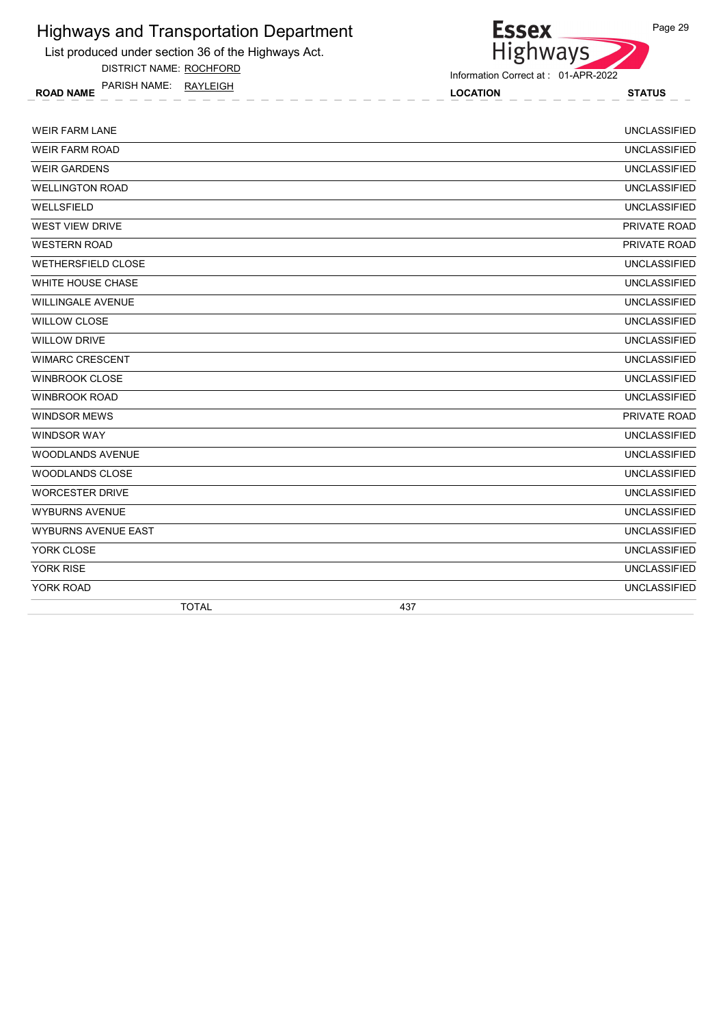List produced under section 36 of the Highways Act.

DISTRICT NAME: ROCHFORD

ROAD NAME LOCATION STATUS PARISH NAME: RAYLEIGH



Information Correct at : 01-APR-2022

| <b>WEIR FARM LANE</b>      |     | <b>UNCLASSIFIED</b> |
|----------------------------|-----|---------------------|
| <b>WEIR FARM ROAD</b>      |     | <b>UNCLASSIFIED</b> |
| <b>WEIR GARDENS</b>        |     | <b>UNCLASSIFIED</b> |
| <b>WELLINGTON ROAD</b>     |     | <b>UNCLASSIFIED</b> |
| WELLSFIELD                 |     | <b>UNCLASSIFIED</b> |
| <b>WEST VIEW DRIVE</b>     |     | PRIVATE ROAD        |
| <b>WESTERN ROAD</b>        |     | PRIVATE ROAD        |
| WETHERSFIELD CLOSE         |     | <b>UNCLASSIFIED</b> |
| <b>WHITE HOUSE CHASE</b>   |     | <b>UNCLASSIFIED</b> |
| <b>WILLINGALE AVENUE</b>   |     | <b>UNCLASSIFIED</b> |
| <b>WILLOW CLOSE</b>        |     | <b>UNCLASSIFIED</b> |
| <b>WILLOW DRIVE</b>        |     | <b>UNCLASSIFIED</b> |
| <b>WIMARC CRESCENT</b>     |     | <b>UNCLASSIFIED</b> |
| <b>WINBROOK CLOSE</b>      |     | <b>UNCLASSIFIED</b> |
| <b>WINBROOK ROAD</b>       |     | <b>UNCLASSIFIED</b> |
| <b>WINDSOR MEWS</b>        |     | PRIVATE ROAD        |
| <b>WINDSOR WAY</b>         |     | <b>UNCLASSIFIED</b> |
| WOODLANDS AVENUE           |     | <b>UNCLASSIFIED</b> |
| <b>WOODLANDS CLOSE</b>     |     | <b>UNCLASSIFIED</b> |
| <b>WORCESTER DRIVE</b>     |     | <b>UNCLASSIFIED</b> |
| <b>WYBURNS AVENUE</b>      |     | <b>UNCLASSIFIED</b> |
| <b>WYBURNS AVENUE EAST</b> |     | <b>UNCLASSIFIED</b> |
| YORK CLOSE                 |     | <b>UNCLASSIFIED</b> |
| <b>YORK RISE</b>           |     | <b>UNCLASSIFIED</b> |
| YORK ROAD                  |     | <b>UNCLASSIFIED</b> |
| <b>TOTAL</b>               | 437 |                     |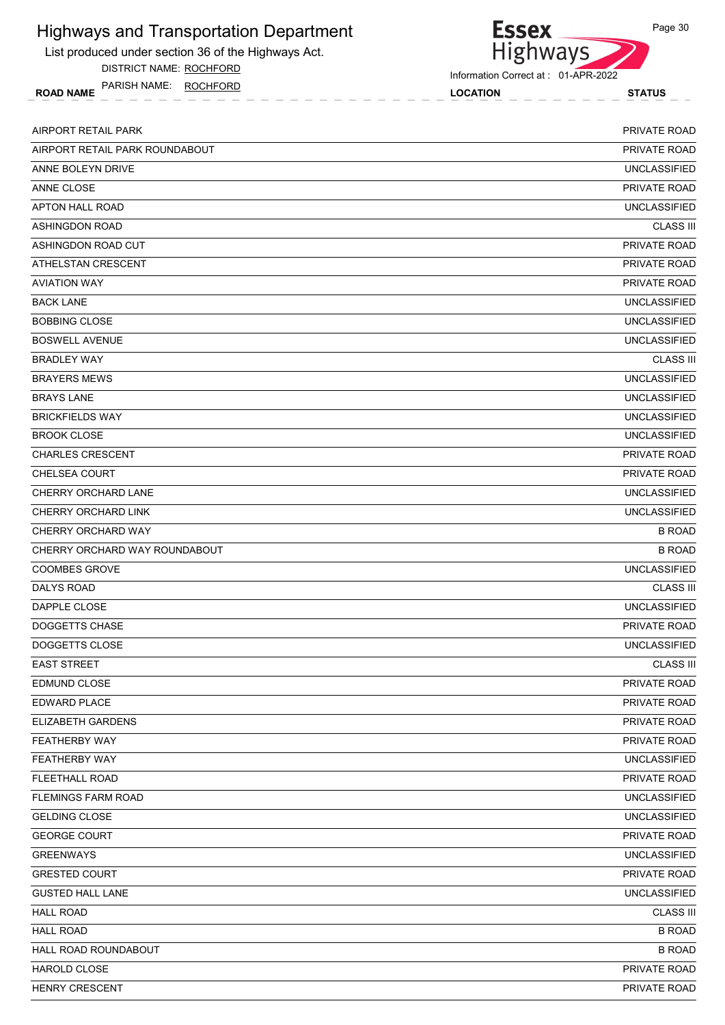List produced under section 36 of the Highways Act.

DISTRICT NAME: ROCHFORD

ROAD NAME LOCATION STATUS PARISH NAME: ROCHFORD



Information Correct at : 01-APR-2022

| AIRPORT RETAIL PARK            | <b>PRIVATE ROAD</b> |
|--------------------------------|---------------------|
| AIRPORT RETAIL PARK ROUNDABOUT | PRIVATE ROAD        |
| ANNE BOLEYN DRIVE              | <b>UNCLASSIFIED</b> |
| ANNE CLOSE                     | PRIVATE ROAD        |
| APTON HALL ROAD                | <b>UNCLASSIFIED</b> |
| <b>ASHINGDON ROAD</b>          | <b>CLASS III</b>    |
| ASHINGDON ROAD CUT             | PRIVATE ROAD        |
| ATHELSTAN CRESCENT             | PRIVATE ROAD        |
| <b>AVIATION WAY</b>            | <b>PRIVATE ROAD</b> |
| <b>BACK LANE</b>               | <b>UNCLASSIFIED</b> |
| <b>BOBBING CLOSE</b>           | <b>UNCLASSIFIED</b> |
| <b>BOSWELL AVENUE</b>          | <b>UNCLASSIFIED</b> |
| <b>BRADLEY WAY</b>             | <b>CLASS III</b>    |
| <b>BRAYERS MEWS</b>            | <b>UNCLASSIFIED</b> |
| <b>BRAYS LANE</b>              | <b>UNCLASSIFIED</b> |
| <b>BRICKFIELDS WAY</b>         | <b>UNCLASSIFIED</b> |
| <b>BROOK CLOSE</b>             | <b>UNCLASSIFIED</b> |
| <b>CHARLES CRESCENT</b>        | <b>PRIVATE ROAD</b> |
| <b>CHELSEA COURT</b>           | <b>PRIVATE ROAD</b> |
| CHERRY ORCHARD LANE            | <b>UNCLASSIFIED</b> |
| CHERRY ORCHARD LINK            | <b>UNCLASSIFIED</b> |
| CHERRY ORCHARD WAY             | <b>B ROAD</b>       |
| CHERRY ORCHARD WAY ROUNDABOUT  | <b>B ROAD</b>       |
| <b>COOMBES GROVE</b>           | <b>UNCLASSIFIED</b> |
| DALYS ROAD                     | <b>CLASS III</b>    |
| DAPPLE CLOSE                   | <b>UNCLASSIFIED</b> |
| <b>DOGGETTS CHASE</b>          | PRIVATE ROAD        |
| DOGGETTS CLOSE                 | <b>UNCLASSIFIED</b> |
| <b>EAST STREET</b>             | <b>CLASS III</b>    |
| EDMUND CLOSE                   | PRIVATE ROAD        |
| EDWARD PLACE                   | PRIVATE ROAD        |
| ELIZABETH GARDENS              | PRIVATE ROAD        |
| FEATHERBY WAY                  | PRIVATE ROAD        |
| FEATHERBY WAY                  | <b>UNCLASSIFIED</b> |
| <b>FLEETHALL ROAD</b>          | PRIVATE ROAD        |
| <b>FLEMINGS FARM ROAD</b>      | <b>UNCLASSIFIED</b> |
| <b>GELDING CLOSE</b>           | <b>UNCLASSIFIED</b> |
| <b>GEORGE COURT</b>            | PRIVATE ROAD        |
| <b>GREENWAYS</b>               | <b>UNCLASSIFIED</b> |
| <b>GRESTED COURT</b>           | PRIVATE ROAD        |
| <b>GUSTED HALL LANE</b>        | <b>UNCLASSIFIED</b> |
| <b>HALL ROAD</b>               | <b>CLASS III</b>    |
| <b>HALL ROAD</b>               | <b>B ROAD</b>       |
| HALL ROAD ROUNDABOUT           | <b>B ROAD</b>       |
| HAROLD CLOSE                   | PRIVATE ROAD        |
| HENRY CRESCENT                 | PRIVATE ROAD        |
|                                |                     |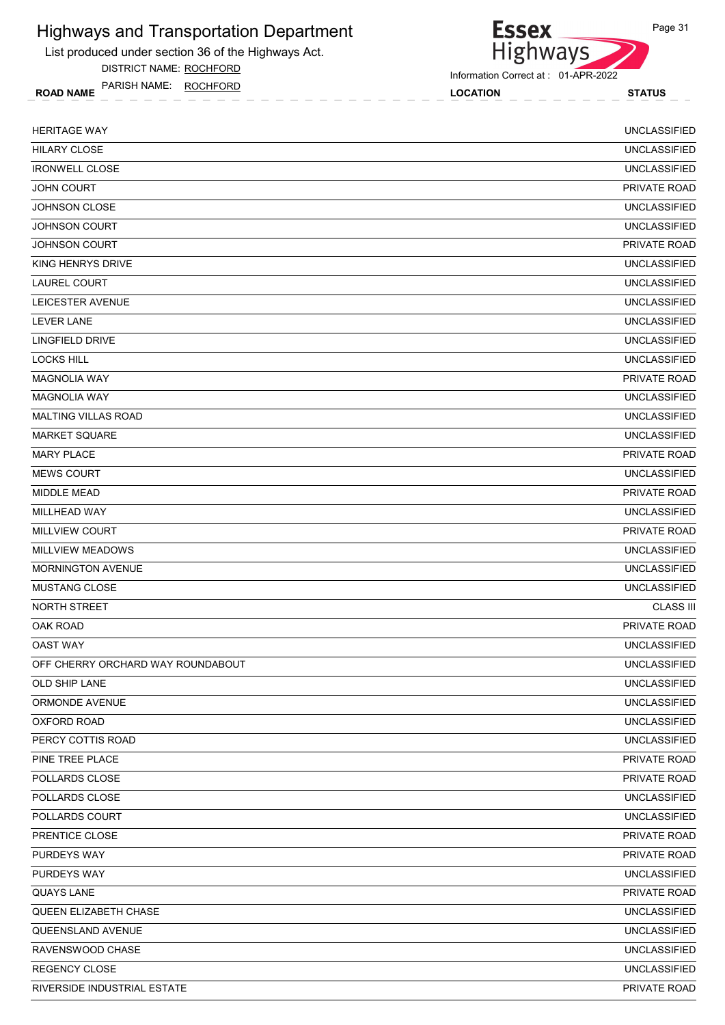List produced under section 36 of the Highways Act.

DISTRICT NAME: ROCHFORD

ROAD NAME LOCATION STATUS PARISH NAME: ROCHFORD



Information Correct at : 01-APR-2022

| <b>HERITAGE WAY</b>               | <b>UNCLASSIFIED</b> |
|-----------------------------------|---------------------|
| <b>HILARY CLOSE</b>               | <b>UNCLASSIFIED</b> |
| <b>IRONWELL CLOSE</b>             | <b>UNCLASSIFIED</b> |
| <b>JOHN COURT</b>                 | PRIVATE ROAD        |
| <b>JOHNSON CLOSE</b>              | <b>UNCLASSIFIED</b> |
| <b>JOHNSON COURT</b>              | <b>UNCLASSIFIED</b> |
| <b>JOHNSON COURT</b>              | PRIVATE ROAD        |
| KING HENRYS DRIVE                 | <b>UNCLASSIFIED</b> |
| LAUREL COURT                      | <b>UNCLASSIFIED</b> |
| LEICESTER AVENUE                  | <b>UNCLASSIFIED</b> |
| LEVER LANE                        | <b>UNCLASSIFIED</b> |
| <b>LINGFIELD DRIVE</b>            | <b>UNCLASSIFIED</b> |
| <b>LOCKS HILL</b>                 | <b>UNCLASSIFIED</b> |
| <b>MAGNOLIA WAY</b>               | PRIVATE ROAD        |
| <b>MAGNOLIA WAY</b>               | <b>UNCLASSIFIED</b> |
| <b>MALTING VILLAS ROAD</b>        | <b>UNCLASSIFIED</b> |
| <b>MARKET SQUARE</b>              | <b>UNCLASSIFIED</b> |
| <b>MARY PLACE</b>                 | PRIVATE ROAD        |
| <b>MEWS COURT</b>                 | <b>UNCLASSIFIED</b> |
| <b>MIDDLE MEAD</b>                | PRIVATE ROAD        |
| MILLHEAD WAY                      | <b>UNCLASSIFIED</b> |
| <b>MILLVIEW COURT</b>             | PRIVATE ROAD        |
| <b>MILLVIEW MEADOWS</b>           | <b>UNCLASSIFIED</b> |
| <b>MORNINGTON AVENUE</b>          | <b>UNCLASSIFIED</b> |
| <b>MUSTANG CLOSE</b>              | <b>UNCLASSIFIED</b> |
| NORTH STREET                      | <b>CLASS III</b>    |
| OAK ROAD                          | PRIVATE ROAD        |
| <b>OAST WAY</b>                   | <b>UNCLASSIFIED</b> |
| OFF CHERRY ORCHARD WAY ROUNDABOUT | <b>UNCLASSIFIED</b> |
| OLD SHIP LANE                     | <b>UNCLASSIFIED</b> |
| ORMONDE AVENUE                    | <b>UNCLASSIFIED</b> |
| <b>OXFORD ROAD</b>                | <b>UNCLASSIFIED</b> |
| PERCY COTTIS ROAD                 | <b>UNCLASSIFIED</b> |
| PINE TREE PLACE                   | PRIVATE ROAD        |
| POLLARDS CLOSE                    | PRIVATE ROAD        |
| POLLARDS CLOSE                    | <b>UNCLASSIFIED</b> |
| POLLARDS COURT                    | <b>UNCLASSIFIED</b> |
| PRENTICE CLOSE                    | PRIVATE ROAD        |
| PURDEYS WAY                       | PRIVATE ROAD        |
| PURDEYS WAY                       | <b>UNCLASSIFIED</b> |
| <b>QUAYS LANE</b>                 | PRIVATE ROAD        |
| QUEEN ELIZABETH CHASE             | <b>UNCLASSIFIED</b> |
| QUEENSLAND AVENUE                 | <b>UNCLASSIFIED</b> |
| RAVENSWOOD CHASE                  | <b>UNCLASSIFIED</b> |
| REGENCY CLOSE                     | <b>UNCLASSIFIED</b> |
| RIVERSIDE INDUSTRIAL ESTATE       | PRIVATE ROAD        |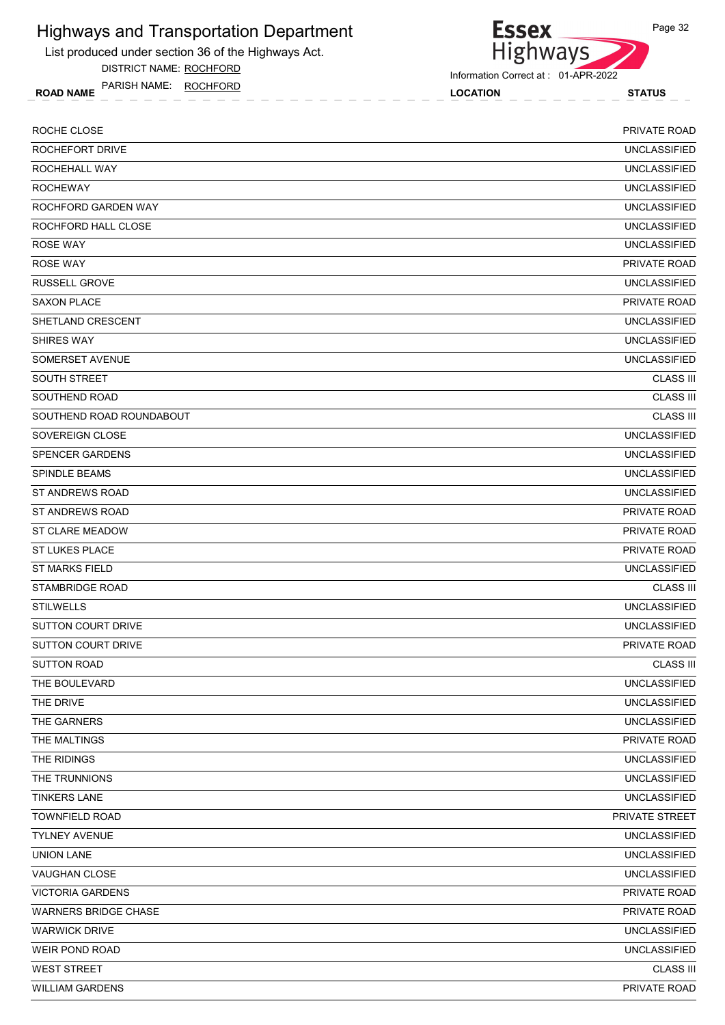List produced under section 36 of the Highways Act.

DISTRICT NAME: ROCHFORD

ROAD NAME LOCATION STATUS PARISH NAME: ROCHFORD

Essex<br>Highways Information Correct at : 01-APR-2022

| ROCHE CLOSE                 | <b>PRIVATE ROAD</b> |
|-----------------------------|---------------------|
| ROCHEFORT DRIVE             | <b>UNCLASSIFIED</b> |
| ROCHEHALL WAY               | <b>UNCLASSIFIED</b> |
| <b>ROCHEWAY</b>             | <b>UNCLASSIFIED</b> |
| ROCHFORD GARDEN WAY         | <b>UNCLASSIFIED</b> |
| ROCHFORD HALL CLOSE         | <b>UNCLASSIFIED</b> |
| <b>ROSE WAY</b>             | <b>UNCLASSIFIED</b> |
| <b>ROSE WAY</b>             | PRIVATE ROAD        |
| <b>RUSSELL GROVE</b>        | <b>UNCLASSIFIED</b> |
| <b>SAXON PLACE</b>          | <b>PRIVATE ROAD</b> |
| SHETLAND CRESCENT           | <b>UNCLASSIFIED</b> |
| <b>SHIRES WAY</b>           | <b>UNCLASSIFIED</b> |
| SOMERSET AVENUE             | <b>UNCLASSIFIED</b> |
| <b>SOUTH STREET</b>         | <b>CLASS III</b>    |
| SOUTHEND ROAD               | <b>CLASS III</b>    |
| SOUTHEND ROAD ROUNDABOUT    | <b>CLASS III</b>    |
| SOVEREIGN CLOSE             | <b>UNCLASSIFIED</b> |
| <b>SPENCER GARDENS</b>      | <b>UNCLASSIFIED</b> |
| <b>SPINDLE BEAMS</b>        | <b>UNCLASSIFIED</b> |
| ST ANDREWS ROAD             | <b>UNCLASSIFIED</b> |
| ST ANDREWS ROAD             | PRIVATE ROAD        |
| <b>ST CLARE MEADOW</b>      | PRIVATE ROAD        |
| <b>ST LUKES PLACE</b>       | <b>PRIVATE ROAD</b> |
| <b>ST MARKS FIELD</b>       | <b>UNCLASSIFIED</b> |
| <b>STAMBRIDGE ROAD</b>      | <b>CLASS III</b>    |
| <b>STILWELLS</b>            | <b>UNCLASSIFIED</b> |
| SUTTON COURT DRIVE          | <b>UNCLASSIFIED</b> |
| <b>SUTTON COURT DRIVE</b>   | <b>PRIVATE ROAD</b> |
| <b>SUTTON ROAD</b>          | <b>CLASS III</b>    |
| THE BOULEVARD               | <b>UNCLASSIFIED</b> |
| THE DRIVE                   | <b>UNCLASSIFIED</b> |
| THE GARNERS                 | <b>UNCLASSIFIED</b> |
| THE MALTINGS                | PRIVATE ROAD        |
| THE RIDINGS                 | <b>UNCLASSIFIED</b> |
| THE TRUNNIONS               | <b>UNCLASSIFIED</b> |
| <b>TINKERS LANE</b>         | <b>UNCLASSIFIED</b> |
| <b>TOWNFIELD ROAD</b>       | PRIVATE STREET      |
| <b>TYLNEY AVENUE</b>        | <b>UNCLASSIFIED</b> |
| <b>UNION LANE</b>           | <b>UNCLASSIFIED</b> |
| VAUGHAN CLOSE               | <b>UNCLASSIFIED</b> |
| <b>VICTORIA GARDENS</b>     | PRIVATE ROAD        |
| <b>WARNERS BRIDGE CHASE</b> | PRIVATE ROAD        |
| <b>WARWICK DRIVE</b>        | <b>UNCLASSIFIED</b> |
| <b>WEIR POND ROAD</b>       | <b>UNCLASSIFIED</b> |
| <b>WEST STREET</b>          | <b>CLASS III</b>    |
| <b>WILLIAM GARDENS</b>      | PRIVATE ROAD        |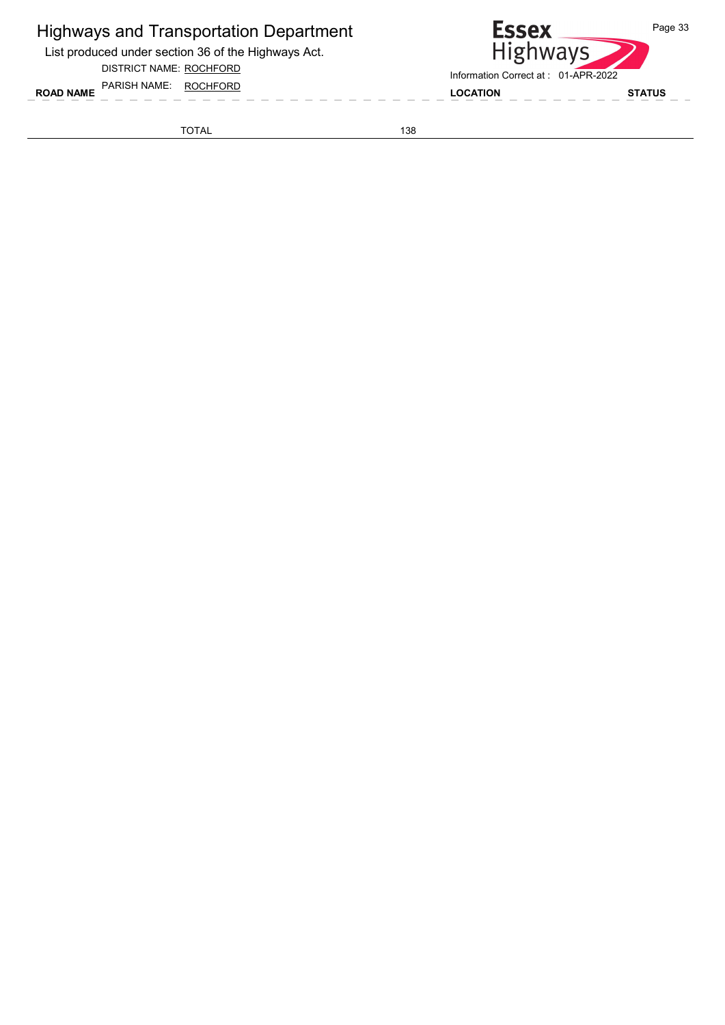List produced under section 36 of the Highways Act.

DISTRICT NAME: ROCHFORD

ROAD NAME LOCATION STATUS PARISH NAME: ROCHFORD

**Essex** Page 33 Highways Information Correct at : 01-APR-2022

TOTAL 138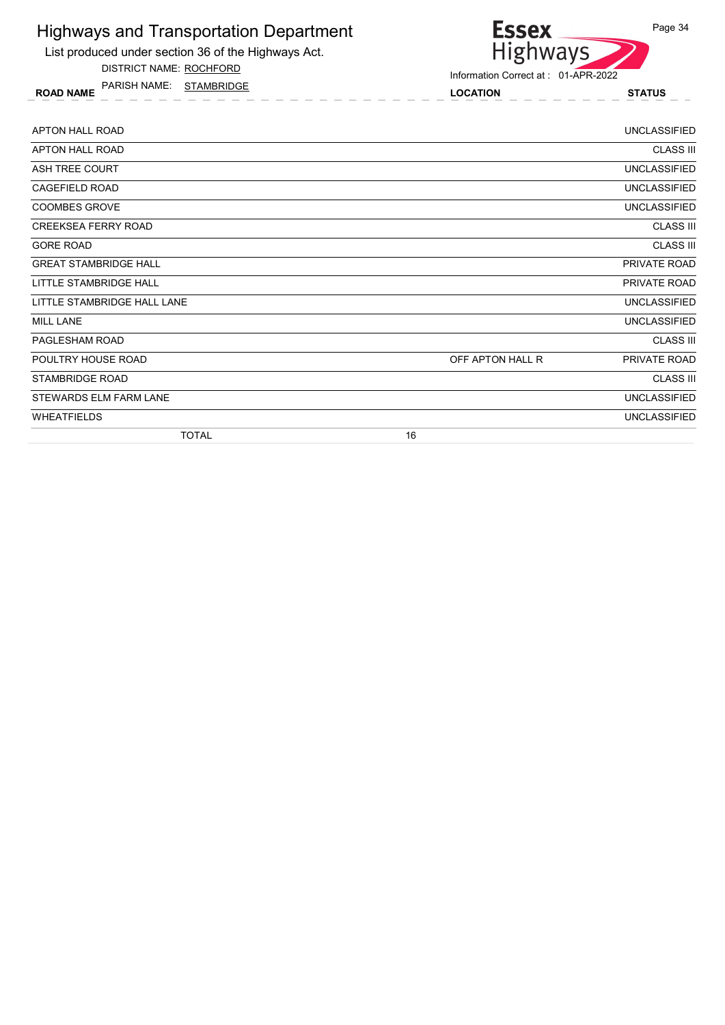

DISTRICT NAME: ROCHFORD

ROAD NAME LOCATION STATUS PARISH NAME: STAMBRIDGE



| APTON HALL ROAD              |    |                  | <b>UNCLASSIFIED</b> |
|------------------------------|----|------------------|---------------------|
| APTON HALL ROAD              |    |                  | <b>CLASS III</b>    |
| ASH TREE COURT               |    |                  | <b>UNCLASSIFIED</b> |
| CAGEFIELD ROAD               |    |                  | <b>UNCLASSIFIED</b> |
| <b>COOMBES GROVE</b>         |    |                  | <b>UNCLASSIFIED</b> |
| <b>CREEKSEA FERRY ROAD</b>   |    |                  | <b>CLASS III</b>    |
| <b>GORE ROAD</b>             |    |                  | <b>CLASS III</b>    |
| <b>GREAT STAMBRIDGE HALL</b> |    |                  | PRIVATE ROAD        |
| LITTLE STAMBRIDGE HALL       |    |                  | PRIVATE ROAD        |
| LITTLE STAMBRIDGE HALL LANE  |    |                  | <b>UNCLASSIFIED</b> |
| <b>MILL LANE</b>             |    |                  | <b>UNCLASSIFIED</b> |
| PAGLESHAM ROAD               |    |                  | <b>CLASS III</b>    |
| POULTRY HOUSE ROAD           |    | OFF APTON HALL R | PRIVATE ROAD        |
| <b>STAMBRIDGE ROAD</b>       |    |                  | <b>CLASS III</b>    |
| STEWARDS ELM FARM LANE       |    |                  | <b>UNCLASSIFIED</b> |
| <b>WHEATFIELDS</b>           |    |                  | <b>UNCLASSIFIED</b> |
| <b>TOTAL</b>                 | 16 |                  |                     |